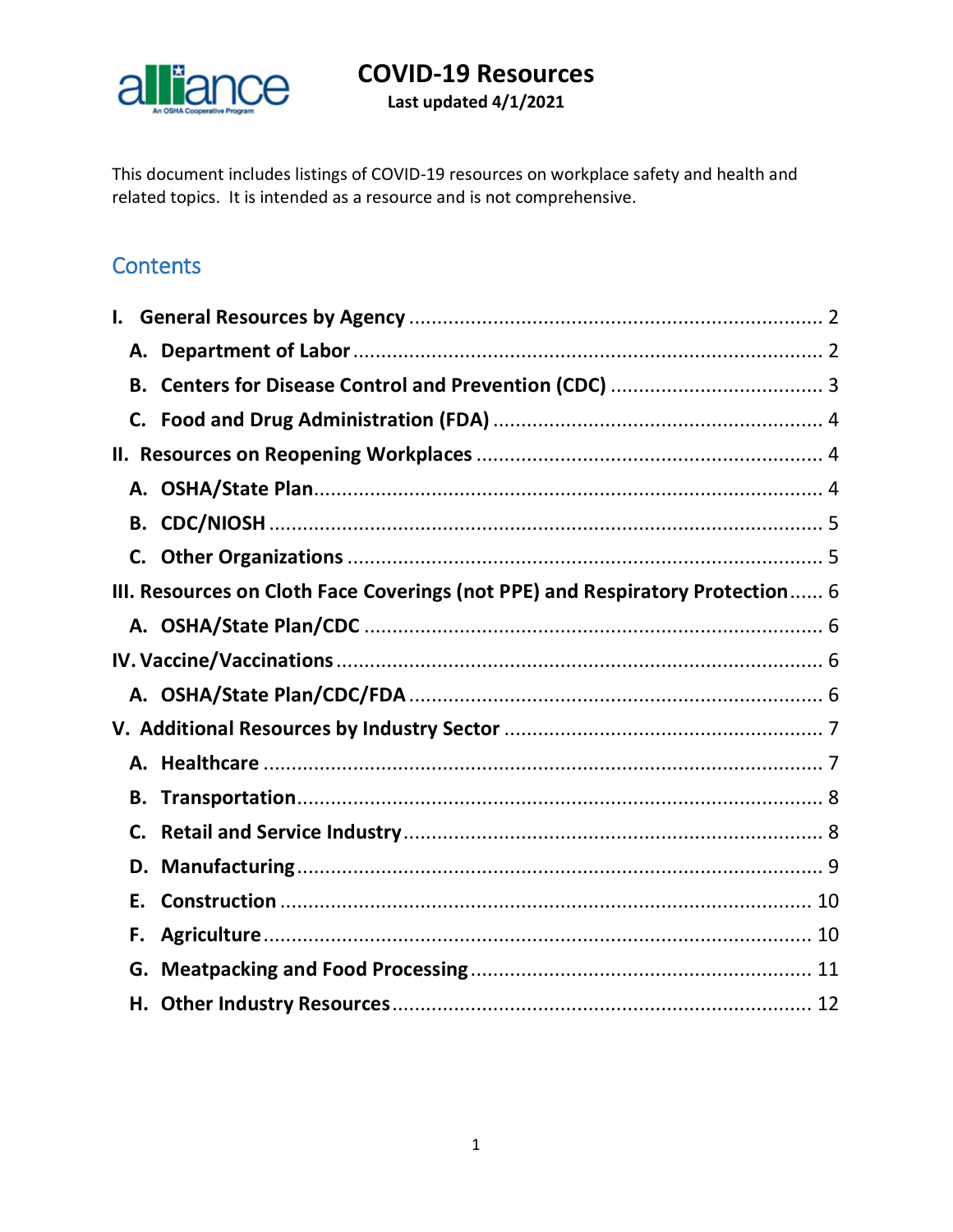

Last updated 4/1/2021

This document includes listings of COVID-19 resources on workplace safety and health and related topics. It is intended as a resource and is not comprehensive.

# **Contents**

| В.                                                                            |  |
|-------------------------------------------------------------------------------|--|
| C.                                                                            |  |
|                                                                               |  |
|                                                                               |  |
| В.                                                                            |  |
| C.                                                                            |  |
| III. Resources on Cloth Face Coverings (not PPE) and Respiratory Protection 6 |  |
|                                                                               |  |
|                                                                               |  |
|                                                                               |  |
|                                                                               |  |
|                                                                               |  |
| В.                                                                            |  |
| C.                                                                            |  |
| D.                                                                            |  |
| Ε.                                                                            |  |
| F.                                                                            |  |
| G.                                                                            |  |
|                                                                               |  |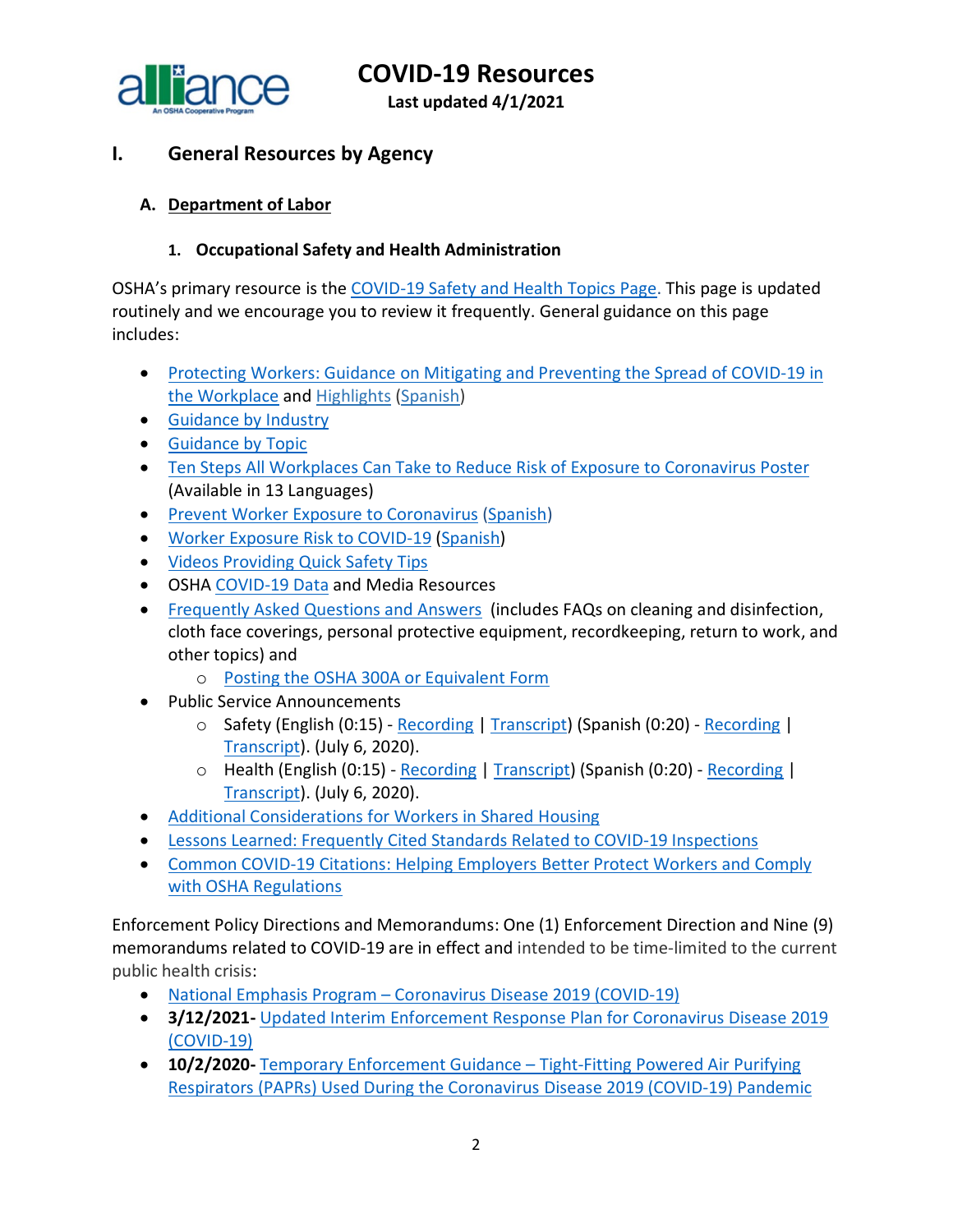

**Last updated 4/1/2021**

# <span id="page-1-0"></span>**I. General Resources by Agency**

## <span id="page-1-1"></span>**A. Department of Labor**

#### **1. Occupational Safety and Health Administration**

OSHA's primary resource is the [COVID-19 Safety and Health Topics Page.](https://www.osha.gov/SLTC/covid-19/) This page is updated routinely and we encourage you to review it frequently. General guidance on this page includes:

- [Protecting Workers: Guidance on Mitigating and Preventing the Spread of COVID-19 in](https://www.osha.gov/coronavirus/safework)  [the Workplace](https://www.osha.gov/coronavirus/safework) and [Highlights](https://www.osha.gov/sites/default/files/revised-preventing-spread-covid-19-highlights.pdf) [\(Spanish\)](https://www.osha.gov/sites/default/files/revised-preventing-spread-covid-19-highlights-sp.pdf)
- [Guidance by Industry](https://www.osha.gov/coronavirus/guidance/industry)
- [Guidance by Topic](https://www.osha.gov/coronavirus/guidance/topic)
- [Ten Steps All Workplaces Can Take to Reduce Risk of Exposure to Coronavirus Poster](https://www.osha.gov/publications/publication-products?publication_title=Ten+Steps+All+Workplaces+Can+Take+to+Reduce+Risk+of+Exposure+to+Coronavirus+Poster) (Available in 13 Languages)
- [Prevent Worker Exposure to Coronavirus](https://www.osha.gov/Publications/OSHA3989.pdf) [\(Spanish\)](https://www.osha.gov/Publications/OSHA3991.pdf)
- [Worker Exposure Risk to COVID-19](https://gcc01.safelinks.protection.outlook.com/?url=https%3A%2F%2Fwww.osha.gov%2FPublications%2FOSHA3993.pdf&data=02%7C01%7CJones.Tina%40dol.gov%7C6e2c3b1ce10f40013c9508d7da6a3123%7C75a6305472044e0c9126adab971d4aca%7C0%7C0%7C637218021941315643&sdata=8Qkg7qXjpicIogFQP3X08rJ7n0TVWggPMgQvrxMnfMc%3D&reserved=0) [\(Spanish\)](https://gcc01.safelinks.protection.outlook.com/?url=https%3A%2F%2Fwww.osha.gov%2FPublications%2FOSHA3993SP.pdf&data=02%7C01%7CJones.Tina%40dol.gov%7C6e2c3b1ce10f40013c9508d7da6a3123%7C75a6305472044e0c9126adab971d4aca%7C0%7C0%7C637218021941315643&sdata=SnppZp%2FLhoXUhx07kT828WxpRx9EzG34cXCHI%2BTN8nk%3D&reserved=0)
- [Videos Providing Quick Safety Tips](https://www.osha.gov/#covidVideos)
- OSHA [COVID-19 Data](https://www.osha.gov/news) and Media Resources
- [Frequently Asked Questions and Answers](https://www.osha.gov/SLTC/covid-19/covid-19-faq.html) (includes FAQs on cleaning and disinfection, cloth face coverings, personal protective equipment, recordkeeping, return to work, and other topics) and
	- o [Posting the OSHA 300A or Equivalent Form](https://www.osha.gov/coronavirus/faqs#form300a)
- Public Service Announcements
	- o Safety (English (0:15) [Recording](https://www.osha.gov/sites/default/files/OSHA_SHW_RadioSpot1_Eng.mp3) | [Transcript\)](https://www.osha.gov/psa#covid1en) (Spanish (0:20) [Recording](https://www.osha.gov/sites/default/files/OSHA_SHW_RadioSpot1_Span.mp3) | [Transcript\)](https://www.osha.gov/psa#covid1sp). (July 6, 2020).
	- o Health (English (0:15) [Recording](https://www.osha.gov/sites/default/files/OSHA_SHW_RadioSpot2_Eng.mp3) | [Transcript\)](https://www.osha.gov/psa#covid2en) (Spanish (0:20) [Recording](https://www.osha.gov/sites/default/files/OSHA_SHW_RadioSpot2_Span.mp3) | [Transcript\)](https://www.osha.gov/psa#covid2sp). (July 6, 2020).
- [Additional Considerations for Workers in Shared Housing](https://www.osha.gov/SLTC/covid-19/workers-in-shared-housing.html)
- [Lessons Learned: Frequently Cited Standards Related to COVID-19 Inspections](https://www.osha.gov/SLTC/covid-19/covid-citations-lessons.pdf)
- [Common COVID-19 Citations: Helping Employers Better Protect Workers and Comply](https://www.osha.gov/SLTC/covid-19/covid-citations-guidance.pdf)  [with OSHA Regulations](https://www.osha.gov/SLTC/covid-19/covid-citations-guidance.pdf)

Enforcement Policy Directions and Memorandums: One (1) Enforcement Direction and Nine (9) memorandums related to COVID-19 are in effect and intended to be time-limited to the current public health crisis:

- National Emphasis Program [Coronavirus Disease 2019 \(COVID-19\)](https://www.osha.gov/sites/default/files/enforcement/directives/DIR_2021-01_CPL-03.pdf)
- **3/12/2021-** [Updated Interim Enforcement Response Plan for Coronavirus Disease 2019](https://www.osha.gov/memos/2021-03-12/updated-interim-enforcement-response-plan-coronavirus-disease-2019-covid-19)  [\(COVID-19\)](https://www.osha.gov/memos/2021-03-12/updated-interim-enforcement-response-plan-coronavirus-disease-2019-covid-19)
- **10/2/2020-** [Temporary Enforcement Guidance –](https://www.osha.gov/memos/2020-10-02/temporary-enforcement-guidance-tight-fitting-powered-air-purifying-respirators) Tight-Fitting Powered Air Purifying [Respirators \(PAPRs\) Used During the Coronavirus Disease 2019 \(COVID-19\) Pandemic](https://www.osha.gov/memos/2020-10-02/temporary-enforcement-guidance-tight-fitting-powered-air-purifying-respirators)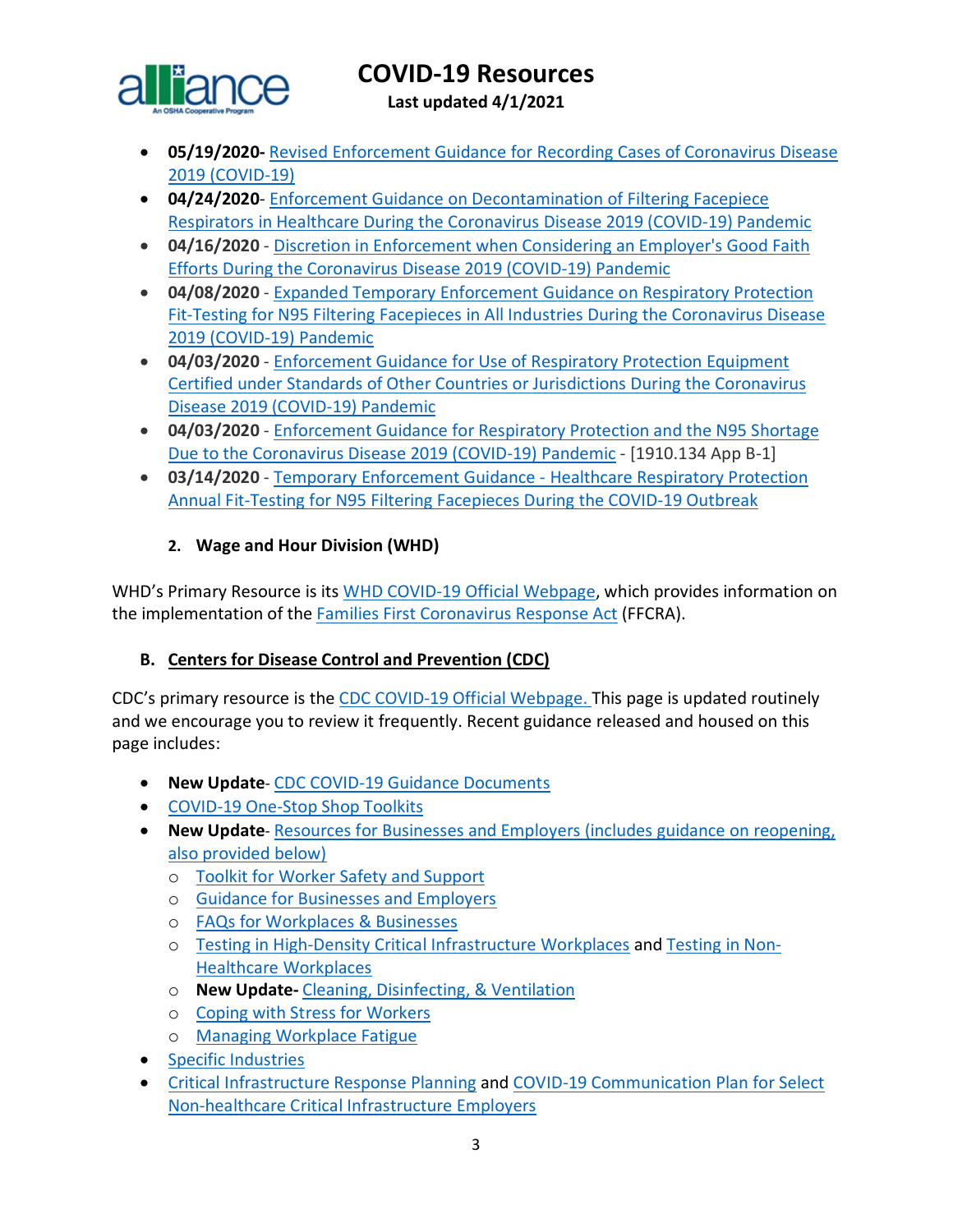

**Last updated 4/1/2021**

- **05/19/2020-** [Revised Enforcement Guidance for Recording Cases of Coronavirus Disease](https://www.osha.gov/memos/2020-05-19/revised-enforcement-guidance-recording-cases-coronavirus-disease-2019-covid-19)  [2019 \(COVID-19\)](https://www.osha.gov/memos/2020-05-19/revised-enforcement-guidance-recording-cases-coronavirus-disease-2019-covid-19)
- **04/24/2020** [Enforcement Guidance on Decontamination of Filtering Facepiece](https://www.osha.gov/memos/2020-04-24/enforcement-guidance-decontamination-filtering-facepiece-respirators-healthcare)  [Respirators in Healthcare During the Coronavirus Disease 2019](https://www.osha.gov/memos/2020-04-24/enforcement-guidance-decontamination-filtering-facepiece-respirators-healthcare) (COVID-19) Pandemic
- **04/16/2020**  [Discretion in Enforcement when Considering an Employer's Good Faith](https://www.osha.gov/memos/2020-04-16/discretion-enforcement-when-considering-employers-good-faith-efforts-during)  [Efforts During the Coronavirus Disease 2019 \(COVID-19\) Pandemic](https://www.osha.gov/memos/2020-04-16/discretion-enforcement-when-considering-employers-good-faith-efforts-during)
- **04/08/2020**  [Expanded Temporary Enforcement Guidance on Respiratory Protection](https://www.osha.gov/memos/2020-04-08/expanded-temporary-enforcement-guidance-respiratory-protection-fit-testing-n95)  [Fit-Testing for N95 Filtering Facepieces in All Industries During the Coronavirus Disease](https://www.osha.gov/memos/2020-04-08/expanded-temporary-enforcement-guidance-respiratory-protection-fit-testing-n95)  [2019 \(COVID-19\) Pandemic](https://www.osha.gov/memos/2020-04-08/expanded-temporary-enforcement-guidance-respiratory-protection-fit-testing-n95)
- **04/03/2020**  [Enforcement Guidance for Use of Respiratory Protection Equipment](https://www.osha.gov/memos/2020-04-03/enforcement-guidance-use-respiratory-protection-equipment-certified-under)  [Certified under Standards of Other Countries or Jurisdictions During the Coronavirus](https://www.osha.gov/memos/2020-04-03/enforcement-guidance-use-respiratory-protection-equipment-certified-under)  [Disease 2019 \(COVID-19\) Pandemic](https://www.osha.gov/memos/2020-04-03/enforcement-guidance-use-respiratory-protection-equipment-certified-under)
- **04/03/2020**  [Enforcement Guidance for Respiratory Protection and the N95 Shortage](https://www.osha.gov/memos/2020-04-03/enforcement-guidance-respiratory-protection-and-n95-shortage-due-coronavirus)  [Due to the Coronavirus Disease 2019 \(COVID-19\) Pandemic](https://www.osha.gov/memos/2020-04-03/enforcement-guidance-respiratory-protection-and-n95-shortage-due-coronavirus) - [1910.134 App B-1]
- **03/14/2020**  [Temporary Enforcement Guidance -](https://www.osha.gov/memos/2020-03-14/temporary-enforcement-guidance-healthcare-respiratory-protection-annual-fit) Healthcare Respiratory Protection [Annual Fit-Testing for N95 Filtering Facepieces During the COVID-19 Outbreak](https://www.osha.gov/memos/2020-03-14/temporary-enforcement-guidance-healthcare-respiratory-protection-annual-fit)

## **2. Wage and Hour Division (WHD)**

WHD's Primary Resource is its [WHD COVID-19 Official Webpage,](https://www.dol.gov/agencies/whd/pandemic) which provides information on the implementation of the [Families First Coronavirus Response Act](https://www.dol.gov/agencies/whd/ffcra) (FFCRA).

### <span id="page-2-0"></span>**B. Centers for Disease Control and Prevention (CDC)**

CDC's primary resource is the CDC [COVID-19 Official Webpage.](https://www.cdc.gov/coronavirus/2019-nCoV/index.html) This page is updated routinely and we encourage you to review it frequently. Recent guidance released and housed on this page includes:

- **New Update** [CDC COVID-19 Guidance Documents](https://www.cdc.gov/coronavirus/2019-ncov/communication/guidance-list.html?Sort=Date%3A%3Adesc)
- [COVID-19 One-Stop Shop Toolkits](https://www.cdc.gov/coronavirus/2019-ncov/communication/toolkits/index.html)
- **New Update** [Resources for Businesses and Employers \(includes guidance on reopening,](https://www.cdc.gov/coronavirus/2019-ncov/community/organizations/businesses-employers.html)  [also provided below\)](https://www.cdc.gov/coronavirus/2019-ncov/community/organizations/businesses-employers.html)
	- o [Toolkit for Worker Safety and Support](https://www.cdc.gov/coronavirus/2019-ncov/communication/toolkits/employees-and-worker-safety.html)
	- o [Guidance for Businesses and Employers](https://www.cdc.gov/coronavirus/2019-ncov/community/guidance-business-response.html)
	- o [FAQs for Workplaces & Businesses](https://www.cdc.gov/coronavirus/2019-ncov/community/general-business-faq.html)
	- o [Testing in High-Density Critical Infrastructure Workplaces](https://www.cdc.gov/coronavirus/2019-ncov/community/worker-safety-support/hd-testing.html) and [Testing in Non-](https://www.cdc.gov/coronavirus/2019-ncov/community/organizations/testing-non-healthcare-workplaces.html?deliveryName=USCDC_10_4-DM32782)[Healthcare Workplaces](https://www.cdc.gov/coronavirus/2019-ncov/community/organizations/testing-non-healthcare-workplaces.html?deliveryName=USCDC_10_4-DM32782)
	- o **New Update-** [Cleaning, Disinfecting, & Ventilation](https://www.cdc.gov/coronavirus/2019-ncov/community/clean-disinfect/index.html)
	- o [Coping with Stress for Workers](https://www.cdc.gov/coronavirus/2019-ncov/community/mental-health-non-healthcare.html?deliveryName=USCDC_10_4-DM27902)
	- o [Managing Workplace Fatigue](https://www.cdc.gov/coronavirus/2019-ncov/hcp/managing-workplace-fatigue.html?deliveryName=USCDC_10_4-DM27902)
- [Specific Industries](https://www.cdc.gov/coronavirus/2019-ncov/community/worker-safety-support/index.html)
- [Critical Infrastructure Response Planning](https://www.cdc.gov/coronavirus/2019-ncov/community/critical-workers/implementing-safety-practices.html?deliveryName=USCDC_10_4-DM27902) and [COVID-19 Communication Plan for Select](https://www.cdc.gov/coronavirus/2019-ncov/community/communication-plan.html?deliveryName=USCDC_10_4-DM34769)  [Non-healthcare Critical Infrastructure Employers](https://www.cdc.gov/coronavirus/2019-ncov/community/communication-plan.html?deliveryName=USCDC_10_4-DM34769)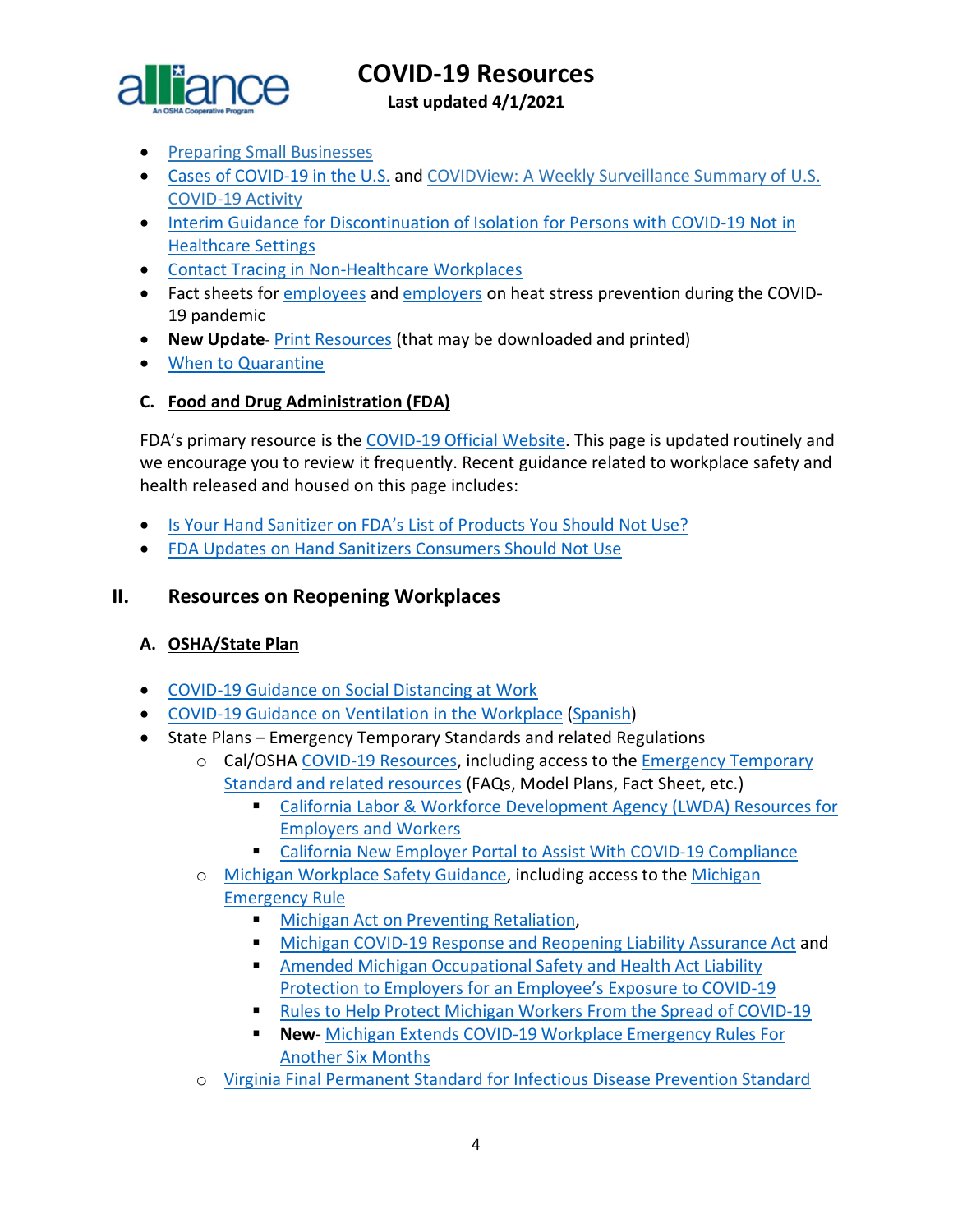

**Last updated 4/1/2021**

- [Preparing Small Businesses](https://gcc01.safelinks.protection.outlook.com/?url=https%3A%2F%2Fwww.cdc.gov%2Fcoronavirus%2F2019-ncov%2Fcommunity%2Fguidance-small-business.html&data=02%7C01%7CLee.Joey.C%40dol.gov%7Cd3f028a2390845ad13b208d7e073765f%7C75a6305472044e0c9126adab971d4aca%7C0%7C0%7C637224658823422112&sdata=afIVXnYi82UYP1zyR2iOZP07LFSoUrCLAneLSEqORqU%3D&reserved=0)
- [Cases of COVID-19 in the U.S.](https://www.cdc.gov/coronavirus/2019-ncov/cases-updates/cases-in-us.html) and [COVIDView: A Weekly Surveillance Summary of U.S.](https://www.cdc.gov/coronavirus/2019-ncov/covid-data/covidview/index.html?CDC_AA_refVal=https%3A%2F%2Fwww.cdc.gov%2Fcoronavirus%2F2019-ncov%252)  [COVID-19 Activity](https://www.cdc.gov/coronavirus/2019-ncov/covid-data/covidview/index.html?CDC_AA_refVal=https%3A%2F%2Fwww.cdc.gov%2Fcoronavirus%2F2019-ncov%252)
- [Interim Guidance for Discontinuation of Isolation for Persons with COVID-19 Not in](https://www.cdc.gov/coronavirus/2019-ncov/hcp/disposition-in-home-patients.html?deliveryName=USCDC_10_4-DM33737)  [Healthcare Settings](https://www.cdc.gov/coronavirus/2019-ncov/hcp/disposition-in-home-patients.html?deliveryName=USCDC_10_4-DM33737)
- [Contact Tracing in Non-Healthcare Workplaces](https://www.cdc.gov/coronavirus/2019-ncov/community/contact-tracing-nonhealthcare-workplaces.html?deliveryName=USCDC_10_4-DM34769)
- Fact sheets for [employees](https://www.cdc.gov/coronavirus/2019-ncov/community/organizations/heat-stress-employees.html) and [employers](https://www.cdc.gov/coronavirus/2019-ncov/community/organizations/heat-stress-employers.html) on heat stress prevention during the COVID-19 pandemic
- **New Update** [Print Resources](https://www.cdc.gov/coronavirus/2019-ncov/communication/print-resources.html?Sort=Date%3A%3Adesc) (that may be downloaded and printed)
- [When to Quarantine](https://www.cdc.gov/coronavirus/2019-ncov/if-you-are-sick/quarantine.html)

#### <span id="page-3-0"></span>**C. Food and Drug Administration (FDA)**

FDA's primary resource is the [COVID-19 Official Website.](https://www.fda.gov/emergency-preparedness-and-response/counterterrorism-and-emerging-threats/coronavirus-disease-2019-covid-19) This page is updated routinely and we encourage you to review it frequently. Recent guidance related to workplace safety and health released and housed on this page includes:

- [Is Your Hand Sanitizer on FDA's List of Products You Should Not Use?](https://www.fda.gov/consumers/consumer-updates/your-hand-sanitizer-fdas-list-products-you-should-not-use?utm_campaign=082520_PR_Coronavirus%20%28COVID-19%29%20Update%3A%20Daily%20Roundup%20August%2025%2C%202020&utm_medium=email&utm_source=Eloqua)
- [FDA Updates on Hand Sanitizers Consumers Should Not Use](https://www.fda.gov/drugs/drug-safety-and-availability/fda-updates-hand-sanitizers-consumers-should-not-use?utm_campaign=082520_PR_Coronavirus%20%28COVID-19%29%20Update%3A%20Daily%20Roundup%20August%2025%2C%202020&utm_medium=email&utm_source=Eloqua#5f47ae8cd1538)

### <span id="page-3-1"></span>**II. Resources on Reopening Workplaces**

#### <span id="page-3-2"></span>**A. OSHA/State Plan**

- [COVID-19 Guidance on Social Distancing at Work](https://www.osha.gov/Publications/OSHA4027.pdf)
- [COVID-19 Guidance on Ventilation in the Workplace](https://www.osha.gov/Publications/OSHA4103.pdf) [\(Spanish\)](https://www.osha.gov/Publications/OSHA4104.pdf)
- State Plans Emergency Temporary Standards and related Regulations
	- o Cal/OSHA [COVID-19 Resources,](https://www.dir.ca.gov/dosh/coronavirus/) including access to the [Emergency Temporary](https://www.dir.ca.gov/dosh/coronavirus/ETS.html)  [Standard and related resources](https://www.dir.ca.gov/dosh/coronavirus/ETS.html) (FAQs, Model Plans, Fact Sheet, etc.)
		- **[California Labor & Workforce Development](https://www.labor.ca.gov/coronavirus2019/#chart) Agency (LWDA) Resources for** [Employers and Workers](https://www.labor.ca.gov/coronavirus2019/#chart)
		- [California New Employer Portal to Assist With COVID-19 Compliance](https://saferatwork.covid19.ca.gov/employers/#employer-portal)
	- o [Michigan Workplace Safety Guidance,](https://www.michigan.gov/leo/0,5863,7-336-100207---,00.html) including access to the [Michigan](https://www.michigan.gov/documents/leo/Final_MIOSHA_Rules_705164_7.pdf)  [Emergency Rule](https://www.michigan.gov/documents/leo/Final_MIOSHA_Rules_705164_7.pdf)
		- [Michigan Act on Preventing Retaliation,](http://www.legislature.mi.gov/documents/2019-2020/billenrolled/House/pdf/2020-HNB-6032.pdf)
		- [Michigan COVID-19 Response and Reopening Liability Assurance Act](http://www.legislature.mi.gov/documents/2019-2020/billenrolled/House/pdf/2020-HNB-6030.pdf) and
		- **Amended Michigan Occupational Safety and Health Act Liability** [Protection to Employers for an Employee's Exposure to COVID-19](http://www.legislature.mi.gov/documents/2019-2020/billenrolled/House/pdf/2020-HNB-6031.pdf)
		- [Rules to Help Protect Michigan Workers From the Spread of COVID-19](https://www.michigan.gov/leo/0,5863,7-336-76741-555024--,00.html)
		- **New** [Michigan Extends COVID-19 Workplace Emergency Rules For](https://www.michigan.gov/documents/leo/Final_MIOSHA_Rules_705164_7.pdf)  [Another Six Months](https://www.michigan.gov/documents/leo/Final_MIOSHA_Rules_705164_7.pdf)
	- o [Virginia Final Permanent Standard for Infectious Disease Prevention](https://www.doli.virginia.gov/proposed-permanent-standard-for-infectious-disease-prevention-for-covid-19/) Standard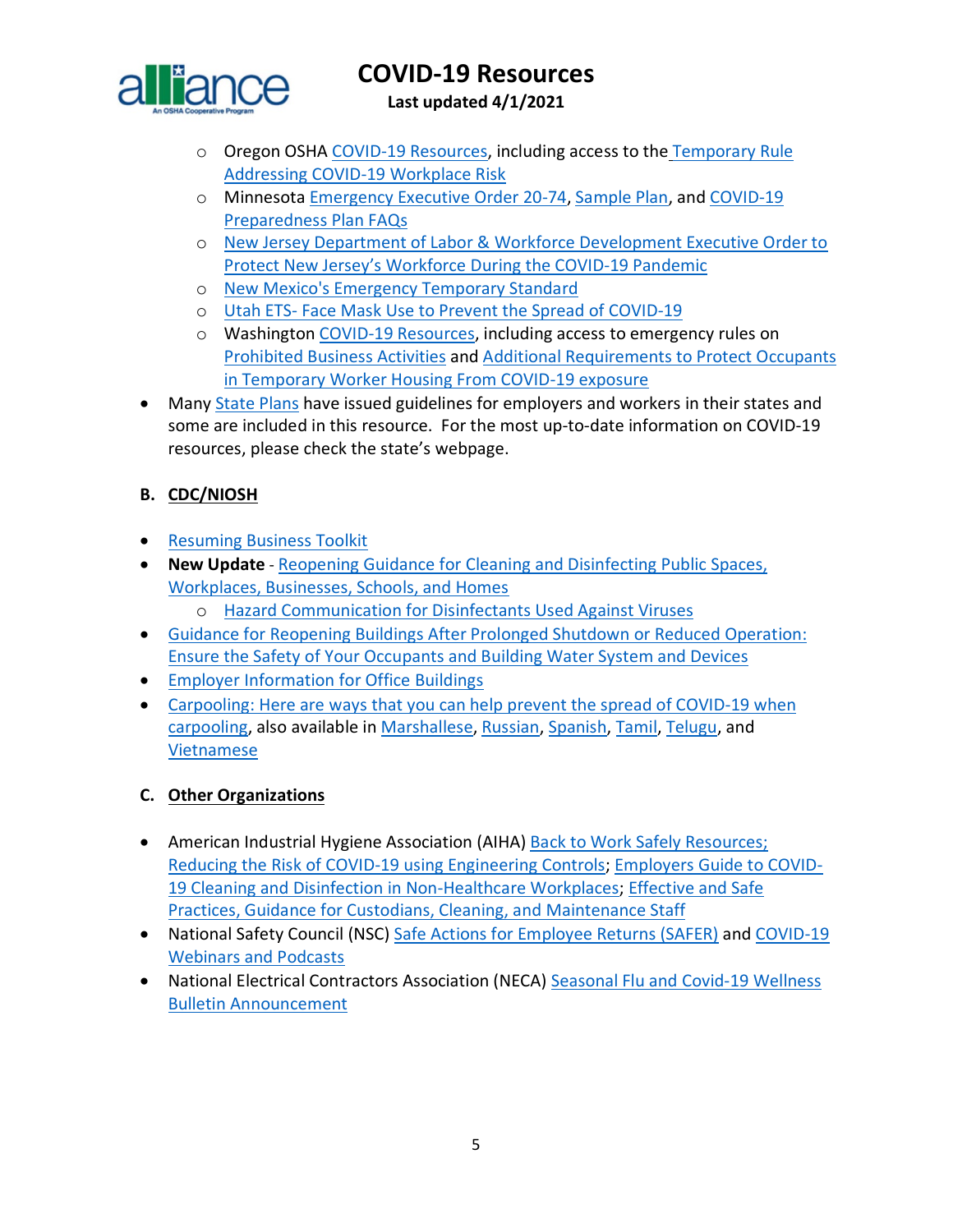

**Last updated 4/1/2021**

- o Oregon OSHA [COVID-19 Resources,](https://osha.oregon.gov/covid19/Pages/default.aspx) including access to the [Temporary Rule](https://osha.oregon.gov/OSHARules/div1/437-001-0744.pdf)  [Addressing COVID-19 Workplace Risk](https://osha.oregon.gov/OSHARules/div1/437-001-0744.pdf)
- o Minnesota [Emergency Executive Order 20-74,](https://mn.gov/governor/assets/EO%2020-74%20Final_tcm1055-437539.pdf) [Sample Plan,](http://www.dli.mn.gov/sites/default/files/doc/COVID_19_business_plan_template.docx) and [COVID-19](https://www.dli.mn.gov/sites/default/files/pdf/COVID_19_preparedness_plans_industry_guidance_FAQs.pdf)  [Preparedness Plan FAQs](https://www.dli.mn.gov/sites/default/files/pdf/COVID_19_preparedness_plans_industry_guidance_FAQs.pdf)
- o [New Jersey Department of Labor & Workforce Development Executive Order to](https://nj.gov/infobank/eo/056murphy/pdf/EO-192.pdf?_ga=2.161068477.1413891878.1603977019-1458229417.1603977019)  [Protect New Jersey's Workforce During the COVID-19 Pandemic](https://nj.gov/infobank/eo/056murphy/pdf/EO-192.pdf?_ga=2.161068477.1413891878.1603977019-1458229417.1603977019)
- o [New Mexico's Emergency Temporary Standard](https://www.env.nm.gov/wp-content/uploads/2020/03/Emergency-Amendment-to-11.5.1.16-final.pdf)
- o Utah ETS- [Face Mask Use to Prevent the Spread of COVID-19](https://laborcommission.utah.gov/divisions/uosh/emergency-rule/)
- o Washington [COVID-19 Resources,](https://lni.wa.gov/safety-health/safety-topics/topics/coronavirus#requirements-and-policies) including access to emergency rules on [Prohibited Business Activities](https://lni.wa.gov/rulemaking-activity/AO21-02/2102CR103EAdoption.pdf) and [Additional Requirements to Protect Occupants](https://lni.wa.gov/rulemaking-activity/AO21-01/2101CR103EAdoption.pdf)  [in Temporary Worker Housing From COVID-19 exposure](https://lni.wa.gov/rulemaking-activity/AO21-01/2101CR103EAdoption.pdf)
- Many [State Plans](https://www.osha.gov/stateplans) have issued guidelines for employers and workers in their states and some are included in this resource. For the most up-to-date information on COVID-19 resources, please check the state's webpage.

### <span id="page-4-0"></span>**B. CDC/NIOSH**

- [Resuming Business Toolkit](https://www.cdc.gov/coronavirus/2019-ncov/community/resuming-business-toolkit.html?deliveryName=USCDC_10_4-DM29483)
- **New Update** [Reopening Guidance for Cleaning and Disinfecting Public Spaces,](https://www.cdc.gov/coronavirus/2019-ncov/community/reopen-guidance.html?deliveryName=USCDC_10_4-DM27264)  [Workplaces, Businesses, Schools, and Homes](https://www.cdc.gov/coronavirus/2019-ncov/community/reopen-guidance.html?deliveryName=USCDC_10_4-DM27264)

o [Hazard Communication for Disinfectants Used Against Viruses](https://www.cdc.gov/niosh/topics/disinfectant/default.html?deliveryName=USCDC_10_4-DM35971)

- [Guidance for Reopening Buildings After Prolonged Shutdown or Reduced Operation:](https://www.cdc.gov/coronavirus/2019-ncov/php/building-water-system.html)  [Ensure the Safety of Your Occupants and Building Water System and Devices](https://www.cdc.gov/coronavirus/2019-ncov/php/building-water-system.html)
- [Employer Information for Office Buildings](https://www.cdc.gov/coronavirus/2019-ncov/community/office-buildings.html?deliveryName=USCDC_10_4-DM29483)
- [Carpooling: Here are ways that you can help prevent the spread of COVID-19 when](https://www.cdc.gov/coronavirus/2019-ncov/downloads/community/organizations/carpooling-fs.pdf?deliveryName=USCDC_10_4-DM34769)  [carpooling,](https://www.cdc.gov/coronavirus/2019-ncov/downloads/community/organizations/carpooling-fs.pdf?deliveryName=USCDC_10_4-DM34769) also available in [Marshallese,](https://gcc02.safelinks.protection.outlook.com/?url=https%3A%2F%2Ft.emailupdates.cdc.gov%2Fr%2F%3Fid%3Dh28e36777%2C120d5047%2C120d7b03&data=02%7C01%7CJones.Tina%40dol.gov%7Cd57c418e7ca1432a08b408d84061c3ee%7C75a6305472044e0c9126adab971d4aca%7C0%7C0%7C637330135927413142&sdata=RsA38qXh2xN6qXR4Ps53vufSy2KsPalG130fEhM97Uw%3D&reserved=0) [Russian,](https://gcc02.safelinks.protection.outlook.com/?url=https%3A%2F%2Ft.emailupdates.cdc.gov%2Fr%2F%3Fid%3Dh28e36777%2C120d5047%2C120d7b04&data=02%7C01%7CJones.Tina%40dol.gov%7Cd57c418e7ca1432a08b408d84061c3ee%7C75a6305472044e0c9126adab971d4aca%7C0%7C0%7C637330135927413142&sdata=L3x6oWTT2qlFicjyB5%2BElmTcgmXFqPE%2FMHzGS2h72II%3D&reserved=0) [Spanish,](https://gcc02.safelinks.protection.outlook.com/?url=https%3A%2F%2Ft.emailupdates.cdc.gov%2Fr%2F%3Fid%3Dh28e36777%2C120d5047%2C120d7b05&data=02%7C01%7CJones.Tina%40dol.gov%7Cd57c418e7ca1432a08b408d84061c3ee%7C75a6305472044e0c9126adab971d4aca%7C0%7C0%7C637330135927413142&sdata=o6WoBVYHtWbCZQt6Oi3Cmq3c7mcnLmAoVK1E9o7K%2FLM%3D&reserved=0) [Tamil,](https://gcc02.safelinks.protection.outlook.com/?url=https%3A%2F%2Ft.emailupdates.cdc.gov%2Fr%2F%3Fid%3Dh28e36777%2C120d5047%2C120d7b06&data=02%7C01%7CJones.Tina%40dol.gov%7Cd57c418e7ca1432a08b408d84061c3ee%7C75a6305472044e0c9126adab971d4aca%7C0%7C0%7C637330135927423136&sdata=pvaJELjmctINVBLybwZ69a336WGtZ2t1Qi0d4KZxw%2FI%3D&reserved=0) [Telugu,](https://gcc02.safelinks.protection.outlook.com/?url=https%3A%2F%2Ft.emailupdates.cdc.gov%2Fr%2F%3Fid%3Dh28e36777%2C120d5047%2C120d7b07&data=02%7C01%7CJones.Tina%40dol.gov%7Cd57c418e7ca1432a08b408d84061c3ee%7C75a6305472044e0c9126adab971d4aca%7C0%7C0%7C637330135927423136&sdata=UBtZcT%2F6gjcND0GAdE6DTg0NQHpCLHHqKnFxZRB7plA%3D&reserved=0) and [Vietnamese](https://gcc02.safelinks.protection.outlook.com/?url=https%3A%2F%2Ft.emailupdates.cdc.gov%2Fr%2F%3Fid%3Dh28e36777%2C120d5047%2C120d7b62&data=02%7C01%7CJones.Tina%40dol.gov%7Cd57c418e7ca1432a08b408d84061c3ee%7C75a6305472044e0c9126adab971d4aca%7C0%7C0%7C637330135927433131&sdata=YRvAiK1ixIfpPdONkVuHCHsVnPpk6GCnkk42Oxrn0ME%3D&reserved=0)

#### <span id="page-4-1"></span>**C. Other Organizations**

- American Industrial Hygiene Association (AIHA) [Back to Work Safely Resources;](https://www.backtoworksafely.org/) [Reducing the Risk of COVID-19 using Engineering Controls;](https://aiha-assets.sfo2.digitaloceanspaces.com/AIHA/resources/Guidance-Documents/Reducing-the-Risk-of-COVID-19-using-Engineering-Controls-Guidance-Document.pdf) [Employers Guide to COVID-](https://aiha-assets.sfo2.digitaloceanspaces.com/AIHA/resources/Guidance-Documents/Employers-Guide-to-COVID-Cleaning-and-Disinfection-in-Non-Healthcare-Workplaces-Guidance-Document.pdf)[19 Cleaning and Disinfection in Non-Healthcare Workplaces;](https://aiha-assets.sfo2.digitaloceanspaces.com/AIHA/resources/Guidance-Documents/Employers-Guide-to-COVID-Cleaning-and-Disinfection-in-Non-Healthcare-Workplaces-Guidance-Document.pdf) [Effective and Safe](https://aiha-assets.sfo2.digitaloceanspaces.com/AIHA/resources/Guidance-Documents/Effective-and-Safe-Practices-Guidance-for-Custodians-Cleaning-and-Maintenance-Staff-Guidance-Document.pdf)  [Practices, Guidance for Custodians, Cleaning, and Maintenance Staff](https://aiha-assets.sfo2.digitaloceanspaces.com/AIHA/resources/Guidance-Documents/Effective-and-Safe-Practices-Guidance-for-Custodians-Cleaning-and-Maintenance-Staff-Guidance-Document.pdf)
- National Safety Council (NSC) [Safe Actions for Employee Returns \(SAFER\)](https://www.nsc.org/work-safety/safety-topics/safe-actions-for-employee-returns-safer) and [COVID-19](https://www.nsc.org/workplace/safety-topics/coronavirus/webinars)  [Webinars and Podcasts](https://www.nsc.org/workplace/safety-topics/coronavirus/webinars)
- National Electrical Contractors Association (NECA) Seasonal Flu and Covid-19 Wellness [Bulletin Announcement](http://www.neca-neis.org/powerlinesafety/press-room/detail-page/powerline-safety-press-releases/2020/10/12/flu-wellness-bulletin-announcement)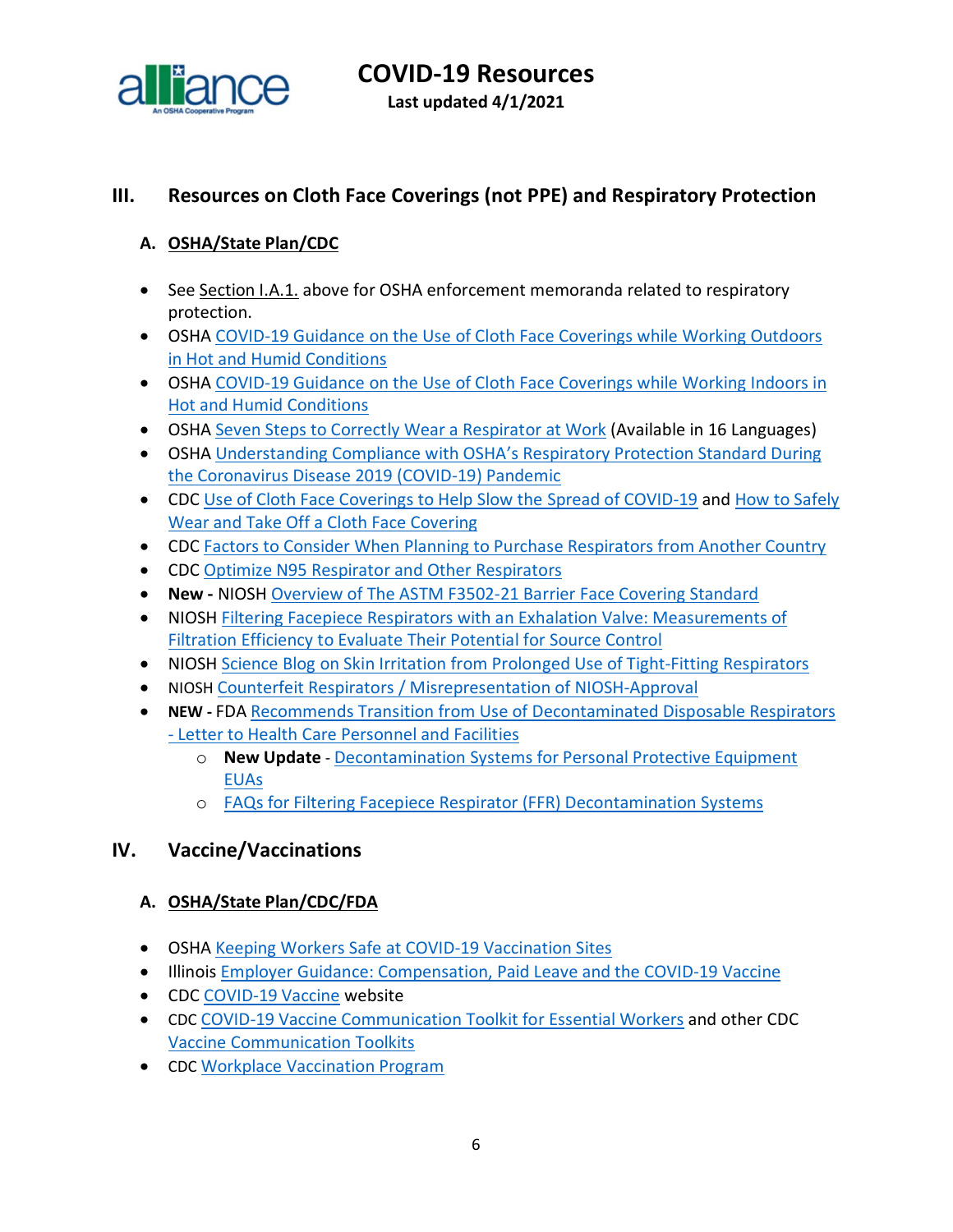

**Last updated 4/1/2021**

# <span id="page-5-0"></span>**III. Resources on Cloth Face Coverings (not PPE) and Respiratory Protection**

## <span id="page-5-1"></span>**A. OSHA/State Plan/CDC**

- See Section I.A.1. above for OSHA enforcement memoranda related to respiratory protection.
- OSHA [COVID-19 Guidance on the Use of Cloth Face Coverings while Working Outdoors](https://www.osha.gov/SLTC/heatstress/covid-19-cloth-coverings-outdoor-heat.pdf)  [in Hot and Humid Conditions](https://www.osha.gov/SLTC/heatstress/covid-19-cloth-coverings-outdoor-heat.pdf)
- OSHA [COVID-19 Guidance on the Use of Cloth Face Coverings while Working Indoors in](https://www.osha.gov/SLTC/heatstress/covid-19-cloth-coverings-indoor-heat.pdf)  [Hot and Humid Conditions](https://www.osha.gov/SLTC/heatstress/covid-19-cloth-coverings-indoor-heat.pdf)
- OSHA [Seven Steps to Correctly Wear a Respirator at Work](https://www.osha.gov/publications/publication-products?publication_title=Seven+Steps+to+Correctly+Wear+a+Respirator+at+Work) (Available in 16 Languages)
- OSHA [Understanding Compliance with OSHA's Respiratory Protection Standard During](https://www.osha.gov/SLTC/respiratoryprotection/respiratory-protection-covid19-compliance.pdf)  [the Coronavirus Disease 2019 \(COVID-19\) Pandemic](https://www.osha.gov/SLTC/respiratoryprotection/respiratory-protection-covid19-compliance.pdf)
- CDC [Use of Cloth Face Coverings to Help Slow the Spread of COVID-19](https://www.cdc.gov/coronavirus/2019-ncov/prevent-getting-sick/diy-cloth-face-coverings.html) and [How to Safely](https://www.cdc.gov/coronavirus/2019-ncov/downloads/cloth-face-covering.pdf)  [Wear and Take Off a Cloth Face Covering](https://www.cdc.gov/coronavirus/2019-ncov/downloads/cloth-face-covering.pdf)
- CDC [Factors to Consider When Planning to Purchase Respirators from Another Country](https://www.cdc.gov/coronavirus/2019-ncov/hcp/ppe-strategy/international-respirator-purchase.html?deliveryName=USCDC_10_4-DM27902)
- CDC [Optimize N95 Respirator and Other Respirators](https://www.cdc.gov/coronavirus/2019-ncov/hcp/n95-other-respirators.html)
- **New -** NIOSH [Overview of The ASTM F3502-21 Barrier Face Covering Standard](https://blogs.cdc.gov/niosh-science-blog/2021/04/23/bfc-standard/?ACSTrackingID=USCSC_170-DM55602&ACSTrackingLabel=NIOSH%20Science%20Blog%20post%3A%20%20Overview%20of%20The%20ASTM%20F3502-21%20Barrier%20Face%20Covering%20Standard&deliveryName=USCSC_170-DM55602)
- NIOSH [Filtering Facepiece Respirators with an Exhalation Valve: Measurements of](https://www.cdc.gov/niosh/docs/2021-107/)  [Filtration Efficiency to Evaluate Their](https://www.cdc.gov/niosh/docs/2021-107/) Potential for Source Control
- NIOSH [Science Blog on Skin Irritation from Prolonged Use of Tight-Fitting Respirators](https://blogs.cdc.gov/niosh-science-blog/2020/08/04/skin-irritation-respirators/?deliveryName=USCDC_10_4-DM34769)
- NIOSH [Counterfeit Respirators / Misrepresentation of NIOSH-Approval](https://www.cdc.gov/niosh/npptl/usernotices/counterfeitResp.html)
- **NEW -** FDA [Recommends Transition from Use of Decontaminated Disposable Respirators](https://www.fda.gov/medical-devices/letters-health-care-providers/fda-recommends-transition-use-decontaminated-disposable-respirators-letter-health-care-personnel-and)  - [Letter to Health Care Personnel and Facilities](https://www.fda.gov/medical-devices/letters-health-care-providers/fda-recommends-transition-use-decontaminated-disposable-respirators-letter-health-care-personnel-and)
	- o **New Update** [Decontamination Systems for Personal Protective Equipment](https://www.fda.gov/medical-devices/coronavirus-disease-2019-covid-19-emergency-use-authorizations-medical-devices/decontamination-systems-personal-protective-equipment-euas)  [EUAs](https://www.fda.gov/medical-devices/coronavirus-disease-2019-covid-19-emergency-use-authorizations-medical-devices/decontamination-systems-personal-protective-equipment-euas)
	- o [FAQs for Filtering Facepiece Respirator \(FFR\) Decontamination Systems](https://www.fda.gov/medical-devices/coronavirus-covid-19-and-medical-devices/faqs-filtering-facepiece-respirator-ffr-decontamination-systems?utm_medium=email&utm_source=govdelivery)

# <span id="page-5-2"></span>**IV. Vaccine/Vaccinations**

### <span id="page-5-3"></span>**A. OSHA/State Plan/CDC/FDA**

- OSHA [Keeping Workers Safe at COVID-19 Vaccination Sites](https://www.osha.gov/sites/default/files/publications/OSHA4109.pdf)
- Illinois [Employer Guidance: Compensation, Paid Leave and the COVID-19 Vaccine](https://www2.illinois.gov/idol/Documents/IDOL_Vaccine%20Leave%20Guidance.pdf)
- CDC [COVID-19 Vaccine](https://www.cdc.gov/coronavirus/2019-ncov/vaccines/index.html) website
- CDC [COVID-19 Vaccine Communication Toolkit for Essential Workers](https://www.cdc.gov/coronavirus/2019-ncov/vaccines/toolkits/essential-workers.html) and other CDC [Vaccine Communication Toolkits](https://www.cdc.gov/coronavirus/2019-ncov/vaccines/toolkits.html)
- CDC [Workplace Vaccination Program](https://www.cdc.gov/coronavirus/2019-ncov/vaccines/recommendations/essentialworker/workplace-vaccination-program.html)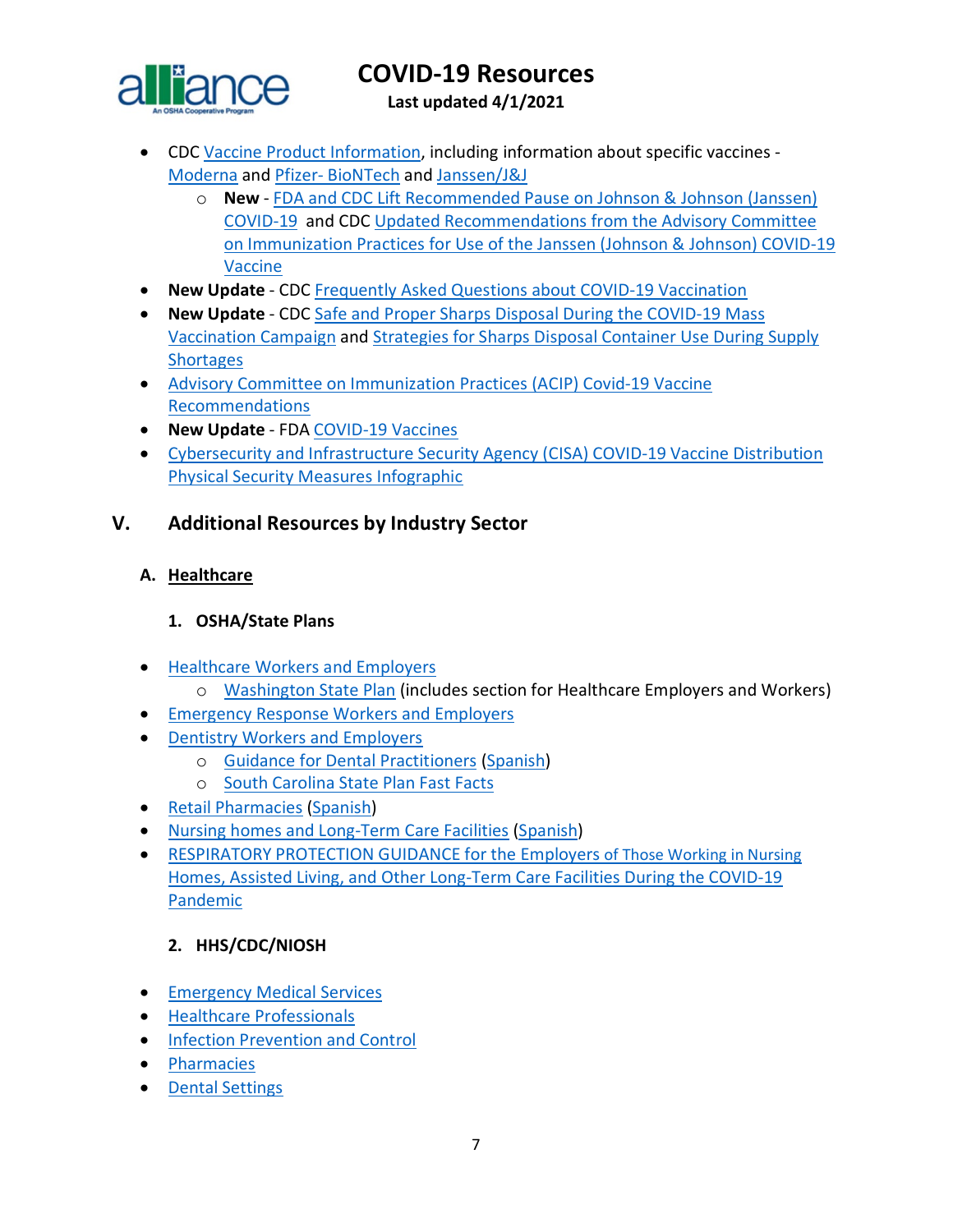

**Last updated 4/1/2021**

- CDC [Vaccine Product Information,](https://www.cdc.gov/vaccines/covid-19/info-by-product/index.html) including information about specific vaccines [Moderna](https://www.cdc.gov/coronavirus/2019-ncov/vaccines/different-vaccines/Moderna.html) and Pfizer- [BioNTech](https://www.cdc.gov/coronavirus/2019-ncov/vaccines/different-vaccines/Pfizer-BioNTech.html) and [Janssen/J&J](https://www.cdc.gov/coronavirus/2019-ncov/vaccines/different-vaccines/janssen.html)
	- o **New** [FDA and CDC Lift Recommended Pause on Johnson & Johnson \(Janssen\)](https://www.cdc.gov/media/releases/2021/fda-cdc-lift-vaccine-use.html)  [COVID-19](https://www.cdc.gov/media/releases/2021/fda-cdc-lift-vaccine-use.html) and CDC [Updated Recommendations from the Advisory Committee](https://www.cdc.gov/mmwr/volumes/70/wr/mm7017e4.htm?s_cid=mm7017e4_x)  [on Immunization Practices for Use of the Janssen \(Johnson & Johnson\) COVID-19](https://www.cdc.gov/mmwr/volumes/70/wr/mm7017e4.htm?s_cid=mm7017e4_x)  [Vaccine](https://www.cdc.gov/mmwr/volumes/70/wr/mm7017e4.htm?s_cid=mm7017e4_x)
- **New Update** CDC [Frequently Asked Questions about COVID-19 Vaccination](https://www.cdc.gov/coronavirus/2019-ncov/vaccines/faq.html)
- **New Update** CDC [Safe and Proper Sharps Disposal During the COVID-19 Mass](https://www.cdc.gov/vaccines/covid-19/training-education/safe-proper-sharps-disposal.html)  [Vaccination Campaign](https://www.cdc.gov/vaccines/covid-19/training-education/safe-proper-sharps-disposal.html) and [Strategies for Sharps Disposal Container Use During Supply](https://www.cdc.gov/vaccines/covid-19/downloads/strategies-sharps-disposal-container.pdf)  **[Shortages](https://www.cdc.gov/vaccines/covid-19/downloads/strategies-sharps-disposal-container.pdf)**
- [Advisory Committee on Immunization Practices \(ACIP\) Covid-19 Vaccine](https://www.cdc.gov/vaccines/hcp/acip-recs/vacc-specific/covid-19.html)  [Recommendations](https://www.cdc.gov/vaccines/hcp/acip-recs/vacc-specific/covid-19.html)
- **New Update** FDA [COVID-19 Vaccines](https://www.fda.gov/emergency-preparedness-and-response/coronavirus-disease-2019-covid-19/covid-19-vaccines)
- [Cybersecurity and Infrastructure Security Agency \(CISA\) COVID-19 Vaccine Distribution](https://www.cisa.gov/sites/default/files/publications/COVID-19_Vaccine_Distribution_Physical_Security_Measures_508.pdf)  [Physical Security Measures Infographic](https://www.cisa.gov/sites/default/files/publications/COVID-19_Vaccine_Distribution_Physical_Security_Measures_508.pdf)

# <span id="page-6-0"></span>**V. Additional Resources by Industry Sector**

## <span id="page-6-1"></span>**A. Healthcare**

## **1. OSHA/State Plans**

- [Healthcare Workers and Employers](https://www.osha.gov/SLTC/covid-19/healthcare-workers.html)
	- o [Washington State Plan](https://www.doh.wa.gov/Emergencies/NovelCoronavirusOutbreak2020COVID19/ResourcesandRecommendations) (includes section for Healthcare Employers and Workers)
- [Emergency Response Workers and Employers](https://www.osha.gov/SLTC/covid-19/emergency-response.html)
- [Dentistry Workers and Employers](https://www.osha.gov/SLTC/covid-19/dentistry.html)
	- o [Guidance for Dental Practitioners](https://www.osha.gov/Publications/OSHA4019.pdf) [\(Spanish\)](https://www.osha.gov/Publications/OSHA4020.pdf)
	- o [South Carolina State Plan Fast Facts](http://www.scosha.llronline.com/pdfs/2020/Covid19%20Fact%20Sheet.pdf)
- [Retail Pharmacies](https://www.osha.gov/Publications/OSHA4023.pdf) [\(Spanish\)](https://www.osha.gov/Publications/OSHA4024.pdf)
- [Nursing homes and Long-Term Care Facilities](https://www.osha.gov/Publications/OSHA4025.pdf) [\(Spanish\)](https://www.osha.gov/Publications/OSHA4026.pdf)
- [RESPIRATORY PROTECTION GUIDANCE for the Employers of Those Working in Nursing](https://www.osha.gov/sites/default/files/respiratory-protection-covid19-long-term-care.pdf)  [Homes, Assisted Living, and Other Long-Term Care Facilities During the COVID-19](https://www.osha.gov/sites/default/files/respiratory-protection-covid19-long-term-care.pdf)  [Pandemic](https://www.osha.gov/sites/default/files/respiratory-protection-covid19-long-term-care.pdf)

# **2. HHS/CDC/NIOSH**

- [Emergency Medical Services](https://www.cdc.gov/coronavirus/2019-ncov/hcp/guidance-for-ems.html)
- [Healthcare Professionals](https://www.cdc.gov/coronavirus/2019-nCoV/hcp/index.html)
- [Infection Prevention and Control](https://www.cdc.gov/coronavirus/2019-ncov/hcp/infection-control-recommendations.html)
- [Pharmacies](https://www.cdc.gov/coronavirus/2019-ncov/hcp/pharmacies.html)
- [Dental Settings](https://www.cdc.gov/coronavirus/2019-ncov/hcp/dental-settings.html)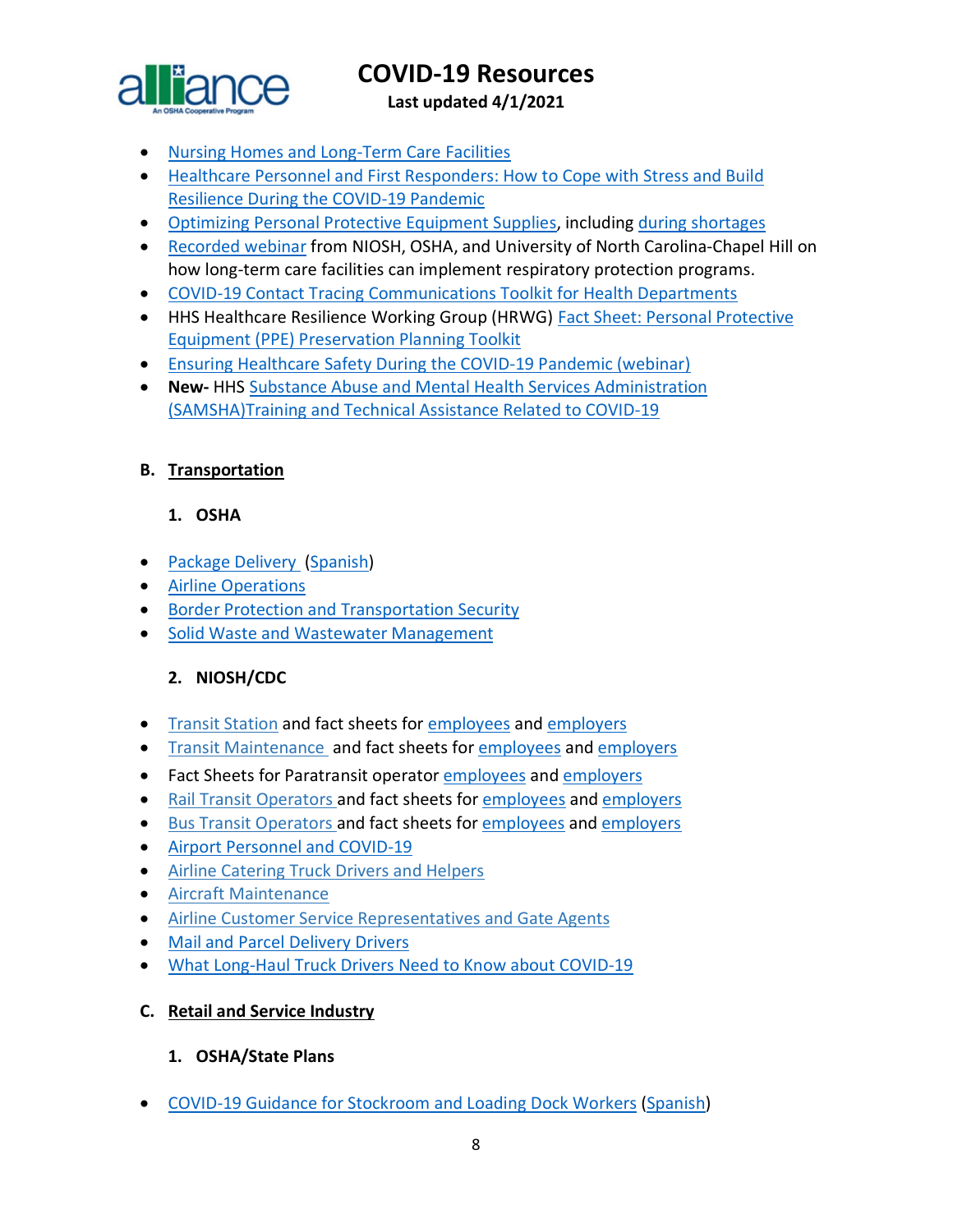

**Last updated 4/1/2021**

- [Nursing Homes and Long-Term Care Facilities](https://www.cdc.gov/coronavirus/2019-ncov/hcp/nursing-home-long-term-care.html)
- [Healthcare Personnel and First Responders: How to Cope with Stress and Build](https://www.cdc.gov/coronavirus/2019-ncov/community/mental-health-healthcare.html?deliveryName=USCDC_10_4-DM27902)  [Resilience During the COVID-19 Pandemic](https://www.cdc.gov/coronavirus/2019-ncov/community/mental-health-healthcare.html?deliveryName=USCDC_10_4-DM27902)
- [Optimizing Personal Protective Equipment Supplies,](https://www.cdc.gov/coronavirus/2019-ncov/hcp/ppe-strategy/index.html?deliveryName=USCDC_10_4-DM33299) including [during shortages](https://www.cdc.gov/coronavirus/2019-ncov/hcp/ppe-strategy/strategies-optimize-ppe-shortages.html)
- [Recorded](https://gcc02.safelinks.protection.outlook.com/?url=https%3A%2F%2Ft.emailupdates.cdc.gov%2Fr%2F%3Fid%3Dh28e36777%2C120d5047%2C120d7b6d&data=02%7C01%7CJones.Tina%40dol.gov%7Cd57c418e7ca1432a08b408d84061c3ee%7C75a6305472044e0c9126adab971d4aca%7C0%7C0%7C637330135927473111&sdata=XkiEu8j9gbuRoQSnwheU0OZBGa627ZX%2B1wHB3qjFEQk%3D&reserved=0) webinar from NIOSH, OSHA, and University of North Carolina-Chapel Hill on how long-term care facilities can implement respiratory protection programs.
- [COVID-19 Contact Tracing Communications Toolkit for Health Departments](https://www.cdc.gov/coronavirus/2019-ncov/php/contact-tracing-comms.html)
- HHS Healthcare Resilience Working Group (HRWG) [Fact Sheet: Personal Protective](https://files.asprtracie.hhs.gov/documents/ppepp-toolkit-fact-sheet-hrwg.pdf)  [Equipment \(PPE\) Preservation Planning](https://files.asprtracie.hhs.gov/documents/ppepp-toolkit-fact-sheet-hrwg.pdf) Toolkit
- [Ensuring Healthcare Safety During the COVID-19 Pandemic \(webinar\)](https://asprtracie.hhs.gov/technical-resources/resource/8690/ensuring-healthcare-safety-throughout-the-covid-19-pandemic)
- **New-** HHS [Substance Abuse and Mental Health Services Administration](https://www.samhsa.gov/sites/default/files/training-and-technical-assistance-covid19.pdf)  [\(SAMSHA\)Training and Technical Assistance Related to COVID-19](https://www.samhsa.gov/sites/default/files/training-and-technical-assistance-covid19.pdf)

### <span id="page-7-0"></span>**B. Transportation**

### **1. OSHA**

- [Package Delivery](https://www.osha.gov/Publications/OSHA3998.pdf) [\(Spanish\)](https://www.osha.gov/Publications/OSHA3999.pdf)
- [Airline Operations](https://www.osha.gov/SLTC/covid-19/airline.html)
- [Border Protection and Transportation Security](https://www.osha.gov/SLTC/covid-19/border-protection-transportation-security.html)
- [Solid Waste and Wastewater Management](https://www.osha.gov/SLTC/covid-19/solid-waste-wastewater-mgmt.html)

### **2. NIOSH/CDC**

- [Transit Station](https://gcc01.safelinks.protection.outlook.com/?url=https%3A%2F%2Fwww.cdc.gov%2Fcoronavirus%2F2019-ncov%2Fcommunity%2Forganizations%2Ftransit-station-workers.html&data=02%7C01%7CLee.Joey.C%40dol.gov%7Cd3f028a2390845ad13b208d7e073765f%7C75a6305472044e0c9126adab971d4aca%7C0%7C0%7C637224658823402199&sdata=gqxR39aHbuIIXIFKdxcH5%2Fr0vh%2F%2F8kcprzxfnJYzU5c%3D&reserved=0) and fact sheets for [employees](https://www.cdc.gov/coronavirus/2019-ncov/community/organizations/transit-station-employees.html?deliveryName=USCDC_10_4-DM35438) and [employers](https://www.cdc.gov/coronavirus/2019-ncov/community/organizations/transit-station-workers.html?deliveryName=USCDC_10_4-DM35438)
- [Transit Maintenance a](https://gcc01.safelinks.protection.outlook.com/?url=https%3A%2F%2Fwww.cdc.gov%2Fcoronavirus%2F2019-ncov%2Fcommunity%2Forganizations%2Ftransit-maintenance-worker.html&data=02%7C01%7CLee.Joey.C%40dol.gov%7Cd3f028a2390845ad13b208d7e073765f%7C75a6305472044e0c9126adab971d4aca%7C0%7C0%7C637224658823402199&sdata=j%2FUwewl%2FKQrbWd%2BDaUmUqfjBE5nOjDYRkHN05dJuJmM%3D&reserved=0)nd fact sheets for [employees](https://www.cdc.gov/coronavirus/2019-ncov/community/organizations/transit-maintenance-employees.html?deliveryName=USCDC_10_4-DM35438) and [employers](https://www.cdc.gov/coronavirus/2019-ncov/community/organizations/transit-maintenance-worker.html?deliveryName=USCDC_10_4-DM35438)
- Fact Sheets for Paratransit operator [employees](https://www.cdc.gov/coronavirus/2019-ncov/community/organizations/paratransit-employees.html?deliveryName=USCDC_10_4-DM37810) and [employers](https://www.cdc.gov/coronavirus/2019-ncov/community/organizations/paratransit-employers.html?deliveryName=USCDC_10_4-DM37810)
- [Rail Transit Operators a](https://gcc01.safelinks.protection.outlook.com/?url=https%3A%2F%2Fwww.cdc.gov%2Fcoronavirus%2F2019-ncov%2Fcommunity%2Forganizations%2Frail-transit-operator.html&data=02%7C01%7CLee.Joey.C%40dol.gov%7Cd3f028a2390845ad13b208d7e073765f%7C75a6305472044e0c9126adab971d4aca%7C0%7C0%7C637224658823412157&sdata=Qn4BrDpf14FE29V6jS%2F6XeZ9sYQ1dThZP4p3YCPQo10%3D&reserved=0)nd fact sheets for [employees](https://www.cdc.gov/coronavirus/2019-ncov/community/organizations/rail-transit-employees.html?deliveryName=USCDC_10_4-DM35438) and [employers](https://www.cdc.gov/coronavirus/2019-ncov/community/organizations/rail-transit-operator.html?deliveryName=USCDC_10_4-DM35438)
- [Bus Transit Operators a](https://gcc01.safelinks.protection.outlook.com/?url=https%3A%2F%2Fwww.cdc.gov%2Fcoronavirus%2F2019-ncov%2Fcommunity%2Forganizations%2Fbus-transit-operator.html&data=02%7C01%7CLee.Joey.C%40dol.gov%7Cd3f028a2390845ad13b208d7e073765f%7C75a6305472044e0c9126adab971d4aca%7C0%7C0%7C637224658823412157&sdata=1LfVqpGfiPT8YHqVgmknweLGf51kxuB6CO3wyC%2FGVKY%3D&reserved=0)nd fact sheets for [employees](https://www.cdc.gov/coronavirus/2019-ncov/community/organizations/bus-transit-employees.html?deliveryName=USCDC_10_4-DM35438) and [employers](https://www.cdc.gov/coronavirus/2019-ncov/community/organizations/bus-transit-operator.html?deliveryName=USCDC_10_4-DM35438)
- [Airport Personnel and COVID-19](https://www.cdc.gov/coronavirus/2019-ncov/community/worker-safety-support/airports.html)
- [Airline Catering Truck Drivers and Helpers](https://gcc01.safelinks.protection.outlook.com/?url=https%3A%2F%2Fwww.cdc.gov%2Fcoronavirus%2F2019-ncov%2Fcommunity%2Forganizations%2Fairline-catering-truck-drivers.html&data=02%7C01%7CLee.Joey.C%40dol.gov%7Cd3f028a2390845ad13b208d7e073765f%7C75a6305472044e0c9126adab971d4aca%7C0%7C0%7C637224658823432069&sdata=nWmSKI0rQFZOEra72a5umFVE%2BgWhrOSYZet4aGSZDgI%3D&reserved=0)
- [Aircraft Maintenance](https://gcc01.safelinks.protection.outlook.com/?url=https%3A%2F%2Fwww.cdc.gov%2Fcoronavirus%2F2019-ncov%2Fcommunity%2Forganizations%2Faircraft-maintenance-workers.html&data=02%7C01%7CLee.Joey.C%40dol.gov%7Cd3f028a2390845ad13b208d7e073765f%7C75a6305472044e0c9126adab971d4aca%7C0%7C0%7C637224658823432069&sdata=aIi6sfP%2BuhQPcDVin8Ki4gAcFUYcBO6YyFQNymV0zTI%3D&reserved=0)
- [Airline Customer Service Representatives and Gate Agents](https://gcc01.safelinks.protection.outlook.com/?url=https%3A%2F%2Fwww.cdc.gov%2Fcoronavirus%2F2019-ncov%2Fcommunity%2Fairport-customer-factsheet.html&data=02%7C01%7CLee.Joey.C%40dol.gov%7Cd3f028a2390845ad13b208d7e073765f%7C75a6305472044e0c9126adab971d4aca%7C0%7C0%7C637224658823432069&sdata=xDeDkhBeqOtXLQNdSOPbiMVIKIRyIGdzKuobtpNN3kk%3D&reserved=0)
- [Mail and Parcel Delivery Drivers](https://www.cdc.gov/coronavirus/2019-ncov/community/organizations/mail-parcel-drivers.html)
- What Long-Haul Truck [Drivers Need to Know about COVID-19](https://www.cdc.gov/coronavirus/2019-ncov/community/organizations/long-haul-trucking.html?deliveryName=USCDC_10_4-DM27902)

#### <span id="page-7-1"></span>**C. Retail and Service Industry**

#### **1. OSHA/State Plans**

• [COVID-19 Guidance for Stockroom and Loading Dock Workers](https://www.osha.gov/Publications/OSHA4029.pdf) [\(Spanish\)](https://www.osha.gov/Publications/OSHA4030.pdf)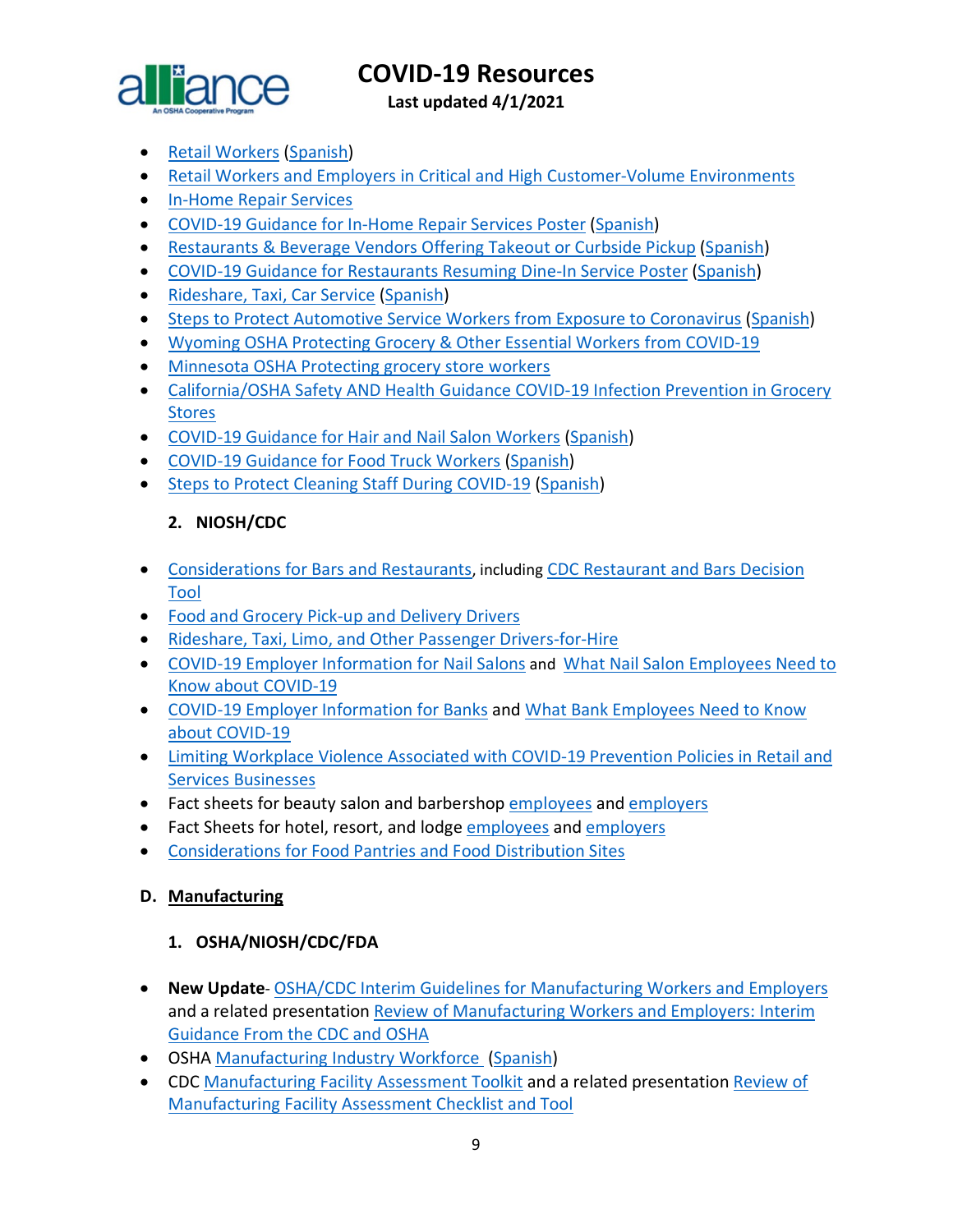

**Last updated 4/1/2021**

- [Retail Workers](https://www.osha.gov/Publications/OSHA3996.pdf) [\(Spanish\)](https://www.osha.gov/Publications/OSHA3997.pdf)
- [Retail Workers and Employers in Critical and High Customer-Volume Environments](https://www.osha.gov/SLTC/covid-19/retail.html)
- [In-Home Repair Services](https://www.osha.gov/SLTC/covid-19/in-home-repair.html)
- [COVID-19 Guidance for In-Home Repair Services Poster](https://www.osha.gov/Publications/OSHA4101.pdf) [\(Spanish\)](https://www.osha.gov/Publications/OSHA4102.pdf)
- [Restaurants & Beverage Vendors Offering Takeout or Curbside Pickup](https://www.osha.gov/Publications/OSHA4017.pdf) [\(Spanish\)](https://www.osha.gov/Publications/OSHA4018.pdf)
- [COVID-19 Guidance for Restaurants Resuming Dine-In Service Poster](https://www.osha.gov/Publications/OSHA4099.pdf) [\(Spanish\)](https://www.osha.gov/Publications/OSHA4100.pdf)
- [Rideshare, Taxi, Car Service](https://www.osha.gov/Publications/OSHA4021.pdf) [\(Spanish\)](https://www.osha.gov/Publications/OSHA4022.pdf)
- [Steps to Protect Automotive Service Workers from Exposure to Coronavirus](https://www.osha.gov/Publications/OSHA4070.pdf) [\(Spanish\)](https://www.osha.gov/Publications/OSHA4071.pdf)
- [Wyoming OSHA Protecting Grocery & Other Essential Workers from COVID-19](http://wyomingworkforce.org/news/2020-04-14a/)
- [Minnesota OSHA Protecting grocery store workers](https://staysafe.mn.gov/industry-guidance/grocery-and-convenience-stores.jsp)
- California/OSHA Safety AND Health Guidance COVID-19 Infection Prevention in Grocery [Stores](https://www.dir.ca.gov/dosh/Coronavirus/COVID-19-Infection-Prevention-in-Grocery-Stores.pdf)
- [COVID-19 Guidance for Hair and Nail Salon Workers](https://www.osha.gov/Publications/OSHA4074.pdf) [\(Spanish\)](https://www.osha.gov/Publications/OSHA4075.pdf)
- [COVID-19 Guidance for Food Truck Workers](https://www.osha.gov/Publications/OSHA4076.pdf) [\(Spanish\)](https://www.osha.gov/Publications/OSHA4077.pdf)
- [Steps to Protect Cleaning Staff During COVID-19](https://www.osha.gov/Publications/OSHA4097.pdf) [\(Spanish\)](https://www.osha.gov/Publications/OSHA4098.pdf)

## **2. NIOSH/CDC**

- [Considerations for Bars and Restaurants,](https://www.cdc.gov/coronavirus/2019-ncov/community/organizations/business-employers/bars-restaurants.html) including [CDC Restaurant and Bars Decision](https://www.cdc.gov/coronavirus/2019-ncov/community/organizations/restaurants-and-bars-decision-tool.html)  [Tool](https://www.cdc.gov/coronavirus/2019-ncov/community/organizations/restaurants-and-bars-decision-tool.html)
- [Food and Grocery Pick-up and Delivery Drivers](https://www.cdc.gov/coronavirus/2019-ncov/community/organizations/food-grocery-drivers.html)
- [Rideshare, Taxi, Limo, and Other Passenger Drivers-for-Hire](https://www.cdc.gov/coronavirus/2019-ncov/community/organizations/rideshare-drivers-for-hire.html)
- [COVID-19 Employer Information for Nail Salons](https://www.cdc.gov/coronavirus/2019-ncov/community/organizations/nail-salon-employers.html?deliveryName=USCDC_10_4-DM30499) and [What Nail Salon Employees Need to](https://www.cdc.gov/coronavirus/2019-ncov/community/organizations/nail-salon-employees.html?deliveryName=USCDC_10_4-DM30499) [Know about COVID-19](https://www.cdc.gov/coronavirus/2019-ncov/community/organizations/nail-salon-employees.html?deliveryName=USCDC_10_4-DM30499)
- [COVID-19 Employer Information for Banks](https://www.cdc.gov/coronavirus/2019-ncov/community/organizations/bank-employers.html?deliveryName=USCDC_10_4-DM31748) and [What Bank Employees Need to Know](https://www.cdc.gov/coronavirus/2019-ncov/community/organizations/bank-employees.html?deliveryName=USCDC_10_4-DM31748)  [about COVID-19](https://www.cdc.gov/coronavirus/2019-ncov/community/organizations/bank-employees.html?deliveryName=USCDC_10_4-DM31748)
- [Limiting Workplace Violence Associated with COVID-19 Prevention Policies in Retail and](https://www.cdc.gov/coronavirus/2019-ncov/community/organizations/business-employers/limit-workplace-violence.html?deliveryName=USCDC_10_4-DM37106)  [Services Businesses](https://www.cdc.gov/coronavirus/2019-ncov/community/organizations/business-employers/limit-workplace-violence.html?deliveryName=USCDC_10_4-DM37106)
- Fact sheets for beauty salon and barbershop [employees](https://www.cdc.gov/coronavirus/2019-ncov/community/organizations/beauty-salon-barber-employees.html?deliveryName=USCDC_10_4-DM37106) and [employers](https://www.cdc.gov/coronavirus/2019-ncov/community/organizations/beauty-salon-barber-employers.html?deliveryName=USCDC_10_4-DM37106)
- Fact Sheets for hotel, resort, and lodge [employees](https://www.cdc.gov/coronavirus/2019-ncov/community/organizations/hotel-employees.html?deliveryName=USCDC_10_4-DM37810) and [employers](https://www.cdc.gov/coronavirus/2019-ncov/community/organizations/hotel-employers.html?deliveryName=USCDC_10_4-DM37810)
- [Considerations for Food Pantries and Food Distribution Sites](https://www.cdc.gov/coronavirus/2019-ncov/community/organizations/food-pantries.html)

#### <span id="page-8-0"></span>**D. Manufacturing**

### **1. OSHA/NIOSH/CDC/FDA**

- **New Update** OSHA/CDC Interim Guidelines for [Manufacturing Workers and Employers](https://www.cdc.gov/coronavirus/2019-ncov/community/guidance-manufacturing-workers-employers.html) and a related presentation [Review of Manufacturing Workers and Employers: Interim](https://www.cdc.gov/coronavirus/2019-ncov/downloads/php/Manufacturing-Workers-Guidance-Overview.pdf)  [Guidance From the CDC and OSHA](https://www.cdc.gov/coronavirus/2019-ncov/downloads/php/Manufacturing-Workers-Guidance-Overview.pdf)
- OSHA [Manufacturing Industry Workforce](https://www.osha.gov/Publications/OSHA4002.pdf) [\(Spanish\)](https://www.osha.gov/Publications/OSHA4003.pdf)
- CDC [Manufacturing Facility Assessment Toolkit](https://www.cdc.gov/coronavirus/2019-ncov/php/manufacturing-facilities-assessment-tool.html) and a related presentation [Review of](https://www.cdc.gov/coronavirus/2019-ncov/downloads/php/Manufacturing-Assessment-Tools-Overview.pdf)  [Manufacturing Facility Assessment Checklist and Tool](https://www.cdc.gov/coronavirus/2019-ncov/downloads/php/Manufacturing-Assessment-Tools-Overview.pdf)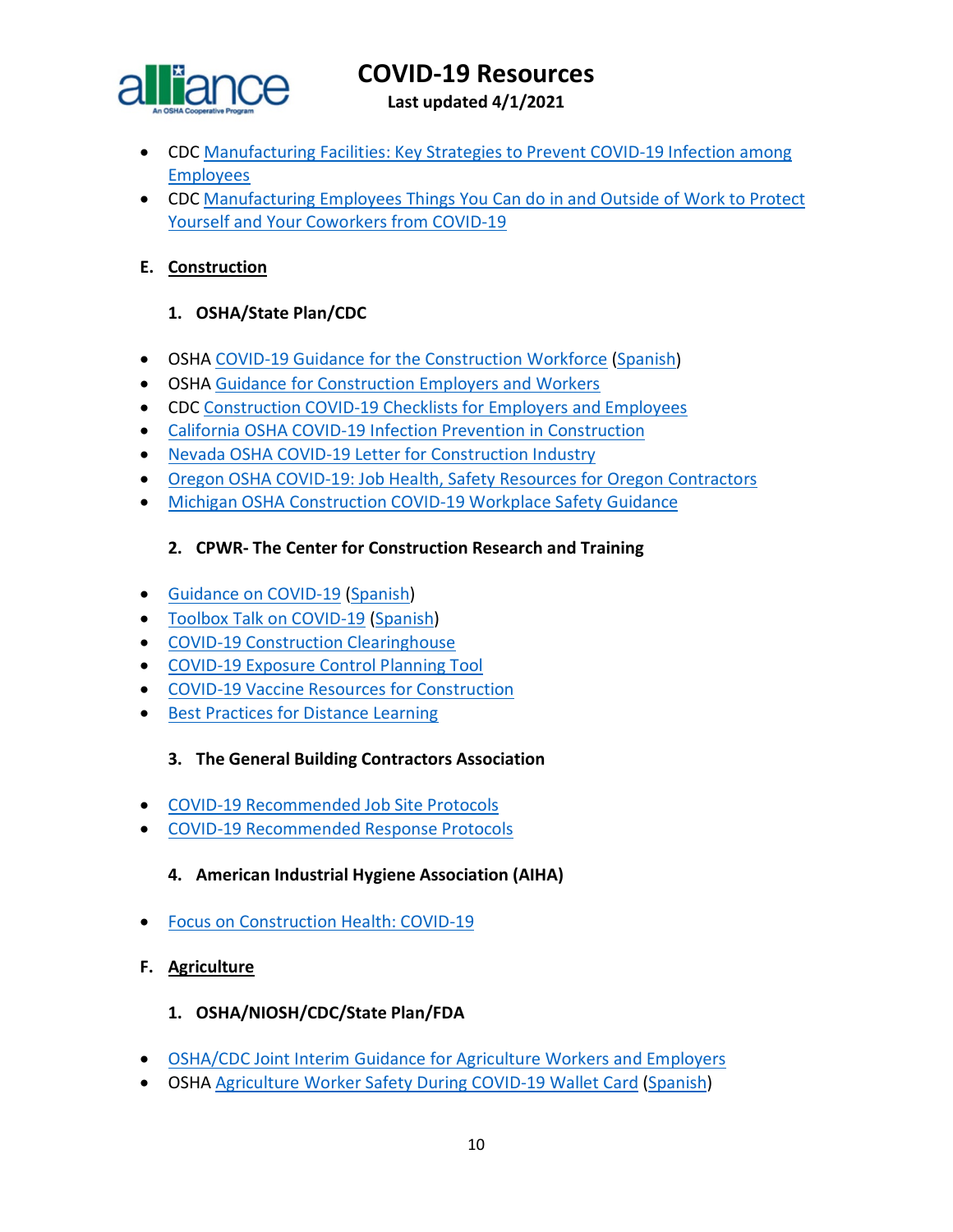

**Last updated 4/1/2021**

- CDC [Manufacturing Facilities: Key Strategies to Prevent COVID-19 Infection among](https://www.cdc.gov/coronavirus/2019-ncov/downloads/community/manufacturing-companies-fs.pdf)  [Employees](https://www.cdc.gov/coronavirus/2019-ncov/downloads/community/manufacturing-companies-fs.pdf)
- CDC [Manufacturing Employees Things You Can do in and Outside of Work to Protect](https://www.cdc.gov/coronavirus/2019-ncov/downloads/community/manufacturing-employees-fs.pdf)  [Yourself and Your Coworkers from COVID-19](https://www.cdc.gov/coronavirus/2019-ncov/downloads/community/manufacturing-employees-fs.pdf)

### <span id="page-9-0"></span>**E. Construction**

### **1. OSHA/State Plan/CDC**

- OSHA [COVID-19 Guidance for the Construction Workforce](https://www.osha.gov/Publications/OSHA4000.pdf) [\(Spanish\)](https://www.osha.gov/Publications/OSHA4001.pdf)
- OSHA [Guidance for Construction Employers and Workers](https://www.osha.gov/SLTC/covid-19/construction.html)
- CDC [Construction COVID-19 Checklists for Employers and Employees](https://www.cdc.gov/coronavirus/2019-ncov/community/organizations/construction-worker-checklists.html)
- [California OSHA COVID-19 Infection Prevention in Construction](https://www.dir.ca.gov/dosh/coronavirus/COVID-19-Infection-Prevention-in-Construction.pdf)
- Nevada OSHA [COVID-19 Letter for Construction Industry](http://dir.nv.gov/uploadedFiles/dirnvgov/content/home/AssessmentsDocs/OSHA%20COVID%2019%20Letter%20for%20Construction%20Industry.pdf)
- Oregon OSHA [COVID-19: Job Health, Safety Resources for Oregon Contractors](https://osha.oregon.gov/Documents/COVID19-orosha-ccb-contractors.pdf)
- [Michigan OSHA Construction COVID-19 Workplace Safety Guidance](https://www.michigan.gov/leo/0,5863,7-336-100207_101283---,00.html)

### **2. CPWR- The Center for Construction Research and Training**

- [Guidance on COVID-19](https://www.cpwr.com/wp-content/uploads/publications/NABTU_CPWR_Standards_COVID-19.pdf) [\(Spanish\)](https://www.cpwr.com/sites/default/files/CPWR_Guidance_on_COVID_SPANISH.pdf)
- [Toolbox Talk on COVID-19](https://www.cpwr.com/sites/default/files/publications/TT-COVID-19.pdf) [\(Spanish\)](https://www.cpwr.com/wp-content/uploads/publications/NABTU_CPWR_Standards_COVID-19_Spanish.pdf)
- [COVID-19 Construction Clearinghouse](http://covid.elcosh.org/index.php)
- COVID-19 [Exposure Control Planning Tool](https://www.covidcpwr.org/)
- [COVID-19 Vaccine Resources for Construction](https://www.cpwr.com/covid-19-resources/covid-19-vaccine-resources/)
- [Best Practices for Distance Learning](https://www.cpwr.com/research/research-to-practice-r2p/r2p-library/other-resources-for-stakeholders/best-practices-for-distance-learning/)

#### **3. The General Building Contractors Association**

- [COVID-19 Recommended Job Site Protocols](https://gbca.com/wp-content/uploads/2020/05/2020.05.29-Job-Site-Protocol-Combined-with-Signatures.pdf)
- [COVID-19 Recommended Response Protocols](https://gbca.com/wp-content/uploads/2020/07/2020.07.09-Response-Protocols-EAS-and-BTC-combined-for-web.pdf)

#### **4. American Industrial Hygiene Association (AIHA)**

- [Focus on Construction Health: COVID-19](https://aiha-assets.sfo2.digitaloceanspaces.com/AIHA/resources/Guidance-Documents/Focus-on-Construction-Health-COVID-19_AIHAGuidanceDocument.pdf)
- <span id="page-9-1"></span>**F. Agriculture**

#### **1. OSHA/NIOSH/CDC/State Plan/FDA**

- [OSHA/CDC Joint Interim Guidance for Agriculture Workers and Employers](https://www.cdc.gov/coronavirus/2019-ncov/community/guidance-agricultural-workers.html)
- OSHA [Agriculture Worker Safety During COVID-19 Wallet Card](https://www.osha.gov/Publications/OSHA4069.pdf) [\(Spanish\)](https://www.osha.gov/Publications/OSHA4069SP.pdf)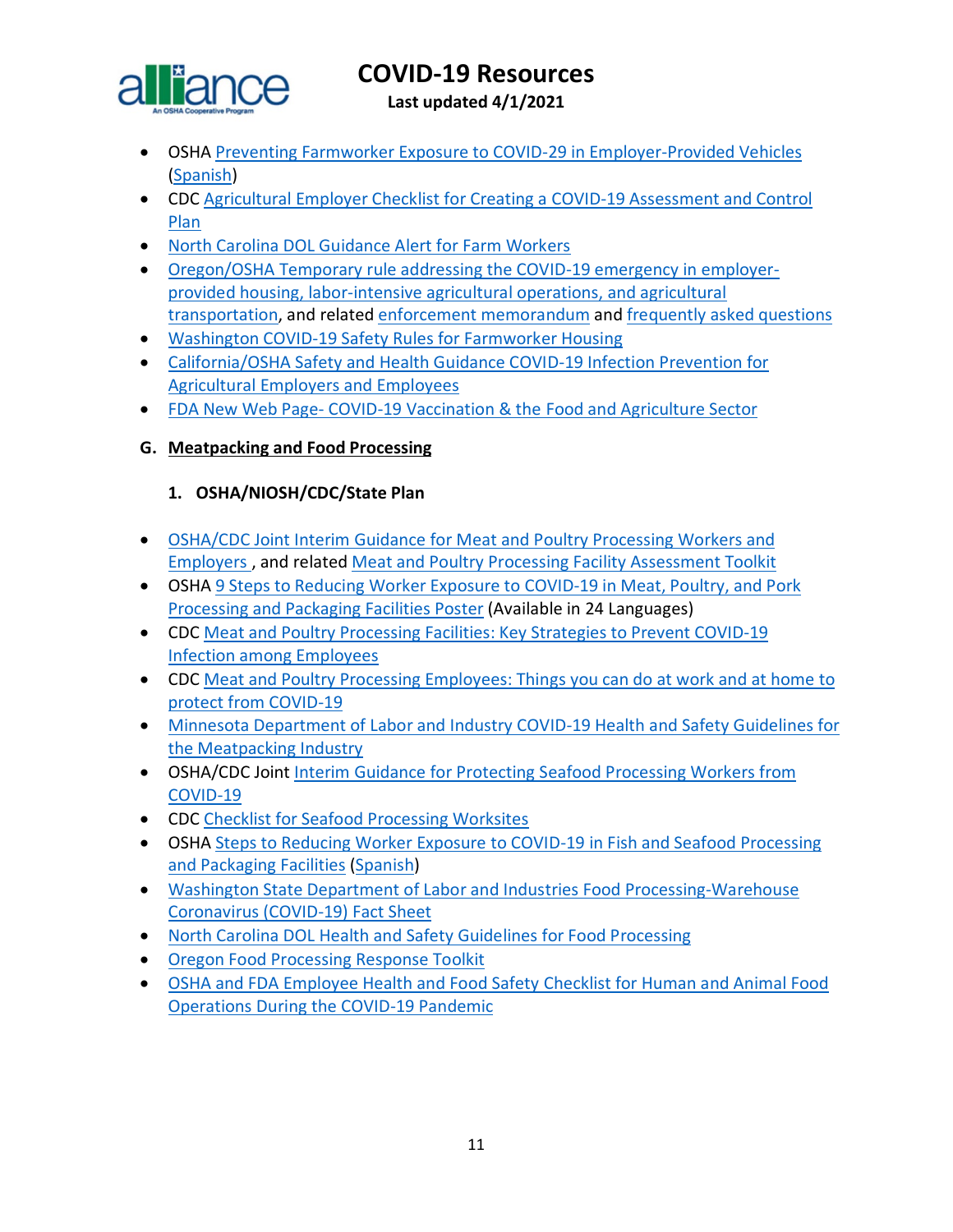

**Last updated 4/1/2021**

- OSHA [Preventing Farmworker Exposure to COVID-29 in Employer-Provided Vehicles](https://www.osha.gov/Publications/OSHA4107.pdf) [\(Spanish\)](https://www.osha.gov/Publications/OSHA4108.pdf)
- CDC [Agricultural Employer Checklist for Creating a COVID-19 Assessment and Control](https://www.cdc.gov/coronavirus/2019-ncov/community/pdf/Agricultural-Employer-checklist.pdf?deliveryName=USCDC_10_4-DM31187)  [Plan](https://www.cdc.gov/coronavirus/2019-ncov/community/pdf/Agricultural-Employer-checklist.pdf?deliveryName=USCDC_10_4-DM31187)
- [North Carolina DOL Guidance Alert for Farm Workers](https://files.nc.gov/ncdol/documents/files/ASH-COVID-19_0.pdf)
- [Oregon/OSHA Temporary rule addressing the COVID-19 emergency in employer](https://osha.oregon.gov/OSHARules/adopted/2020/ao2-2020-text-emergency-rules-ag-covid.pdf)[provided housing, labor-intensive agricultural operations, and agricultural](https://osha.oregon.gov/OSHARules/adopted/2020/ao2-2020-text-emergency-rules-ag-covid.pdf)  [transportation,](https://osha.oregon.gov/OSHARules/adopted/2020/ao2-2020-text-emergency-rules-ag-covid.pdf) and related [enforcement memorandum](https://osha.oregon.gov/OSHARules/adopted/2020/ao2-2020-enforcement-delay-memo.pdf) and [frequently asked questions](https://osha.oregon.gov/Documents/COVID-19-Emergency-Ag-Rule-Q-A.pdf)
- [Washington COVID-19 Safety Rules for Farmworker Housing](https://www.lni.wa.gov/rulemaking-activity/AO20-09/2009CR103EAdoption.pdf?utm_medium=email&utm_source=govdelivery)
- [California/OSHA Safety and Health Guidance COVID-19 Infection Prevention for](https://www.dir.ca.gov/dosh/Coronavirus/COVID-19-Infection-Prevention-in-Agriculture.pdf)  [Agricultural Employers and Employees](https://www.dir.ca.gov/dosh/Coronavirus/COVID-19-Infection-Prevention-in-Agriculture.pdf)
- FDA New Web Page- [COVID-19 Vaccination & the Food and Agriculture Sector](https://www.fda.gov/food/food-safety-during-emergencies/covid-19-vaccination-food-and-agriculture-sector?utm_medium=email&utm_source=govdelivery)

### <span id="page-10-0"></span>**G. Meatpacking and Food Processing**

#### **1. OSHA/NIOSH/CDC/State Plan**

- [OSHA/CDC Joint Interim Guidance for Meat and Poultry Processing Workers and](https://www.cdc.gov/coronavirus/2019-ncov/community/organizations/meat-poultry-processing-workers-employers.html)  [Employers](https://www.cdc.gov/coronavirus/2019-ncov/community/organizations/meat-poultry-processing-workers-employers.html) , and related [Meat and Poultry Processing Facility Assessment Toolkit](https://www.cdc.gov/coronavirus/2019-ncov/php/meat-processing-assessment-tool.html?deliveryName=USCDC_10_4-DM30062)
- OSHA [9 Steps to Reducing Worker Exposure to COVID-19 in Meat, Poultry, and Pork](https://www.osha.gov/publications#coronavirus-covid-19-9-steps-to-reducing-worker-exposure-to-covid-19-in-meat-poultry-and-pork-processing-and-packaging-facilities-poster-new-items)  [Processing and Packaging Facilities Poster](https://www.osha.gov/publications#coronavirus-covid-19-9-steps-to-reducing-worker-exposure-to-covid-19-in-meat-poultry-and-pork-processing-and-packaging-facilities-poster-new-items) (Available in 24 Languages)
- CDC [Meat and Poultry Processing Facilities: Key Strategies to Prevent COVID-19](https://www.cdc.gov/coronavirus/2019-ncov/downloads/community/FS-MeatProcessing-EMPLOYERS.pdf?deliveryName=USCDC_10_4-DM31187)  [Infection among Employees](https://www.cdc.gov/coronavirus/2019-ncov/downloads/community/FS-MeatProcessing-EMPLOYERS.pdf?deliveryName=USCDC_10_4-DM31187)
- CDC [Meat and Poultry Processing Employees: Things you can do at work and at home to](https://www.cdc.gov/coronavirus/2019-ncov/downloads/community/FS-MeatProcessing-EMPLOYEES.pdf?deliveryName=USCDC_10_4-DM31187)  [protect from COVID-19](https://www.cdc.gov/coronavirus/2019-ncov/downloads/community/FS-MeatProcessing-EMPLOYEES.pdf?deliveryName=USCDC_10_4-DM31187)
- [Minnesota Department of Labor and Industry COVID-19 Health and Safety Guidelines for](https://www.dli.mn.gov/sites/default/files/pdf/COVID_19_meatpacking_guidance.pdf)  [the Meatpacking Industry](https://www.dli.mn.gov/sites/default/files/pdf/COVID_19_meatpacking_guidance.pdf)
- OSHA/CDC Joint [Interim Guidance for Protecting Seafood Processing Workers from](https://www.cdc.gov/coronavirus/2019-ncov/community/guidance-seafood-processing.html)  [COVID-19](https://www.cdc.gov/coronavirus/2019-ncov/community/guidance-seafood-processing.html)
- CDC [Checklist for Seafood Processing Worksites](https://www.cdc.gov/coronavirus/2019-ncov/community/pdf/Seafood-checklist-covid.pdf?deliveryName=USCDC_10_4-DM34419)
- OSHA Steps to Reducing Worker Exposure to COVID-19 in Fish and Seafood Processing [and Packaging Facilities](https://www.osha.gov/Publications/OSHA4078.pdf) [\(Spanish\)](https://www.osha.gov/Publications/OSHA4079.pdf)
- [Washington State Department of Labor and Industries Food Processing-Warehouse](https://www.lni.wa.gov/forms-publications/F414-166-000.pdf?utm_medium=email&utm_source=govdelivery)  [Coronavirus \(COVID-19\) Fact Sheet](https://www.lni.wa.gov/forms-publications/F414-166-000.pdf?utm_medium=email&utm_source=govdelivery)
- [North Carolina DOL Health and Safety Guidelines](https://www.labor.nc.gov/documents/ha-2250-covid-19-health-and-safety-guidelines-food-processing) for Food Processing
- Oregon [Food Processing Response Toolkit](https://www.oregon.gov/ODA/agriculture/Documents/COVID-19/COVIDProcessorToolkit.pdf)
- [OSHA and FDA Employee Health and Food Safety Checklist for Human and Animal Food](https://www.fda.gov/food/food-safety-during-emergencies/employee-health-and-food-safety-checklist-human-and-animal-food-operations-during-covid-19-pandemic)  [Operations During the COVID-19 Pandemic](https://www.fda.gov/food/food-safety-during-emergencies/employee-health-and-food-safety-checklist-human-and-animal-food-operations-during-covid-19-pandemic)